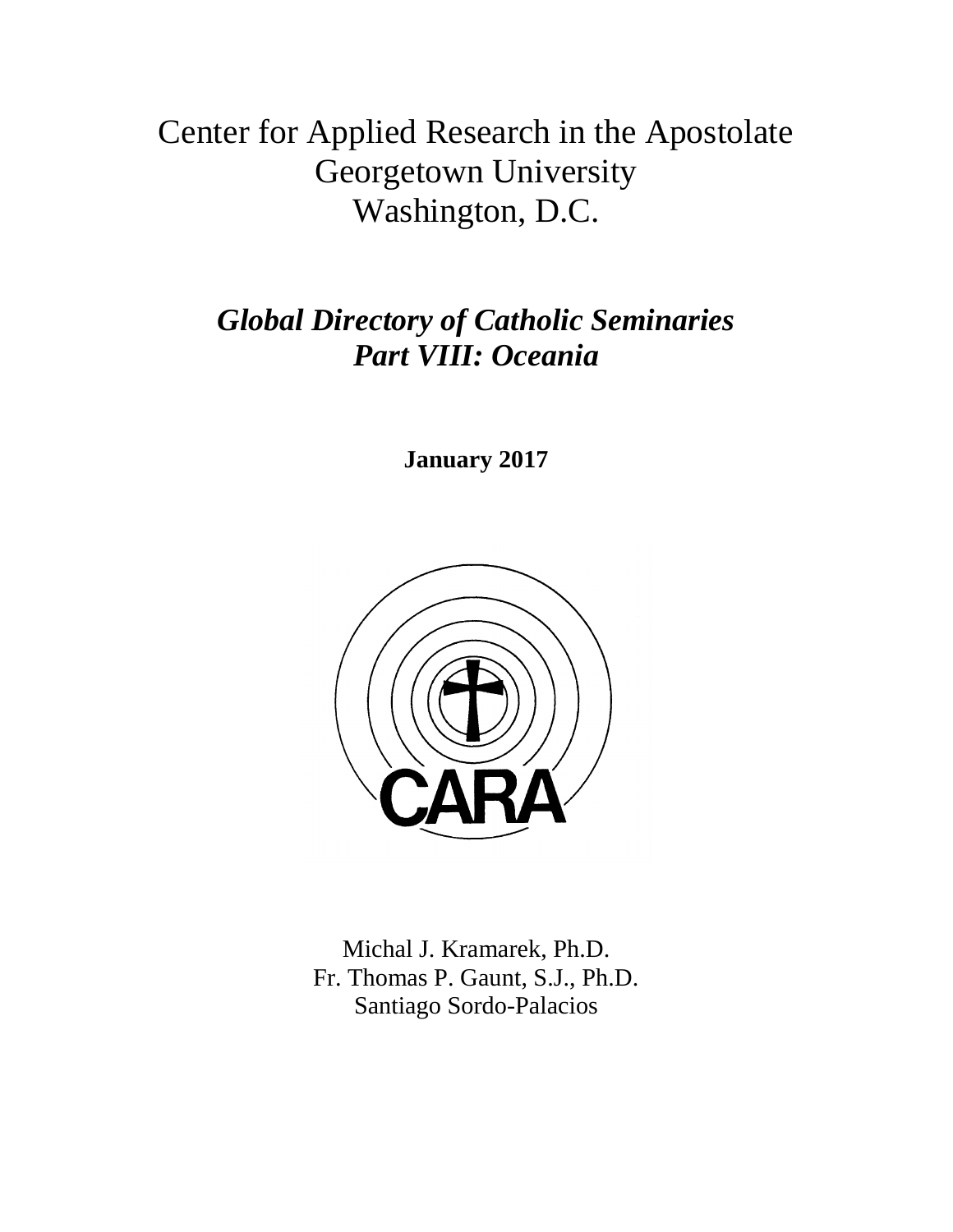# Center for Applied Research in the Apostolate Georgetown University Washington, D.C.

# *Global Directory of Catholic Seminaries Part VIII: Oceania*

**January 2017**



Michal J. Kramarek, Ph.D. Fr. Thomas P. Gaunt, S.J., Ph.D. Santiago Sordo-Palacios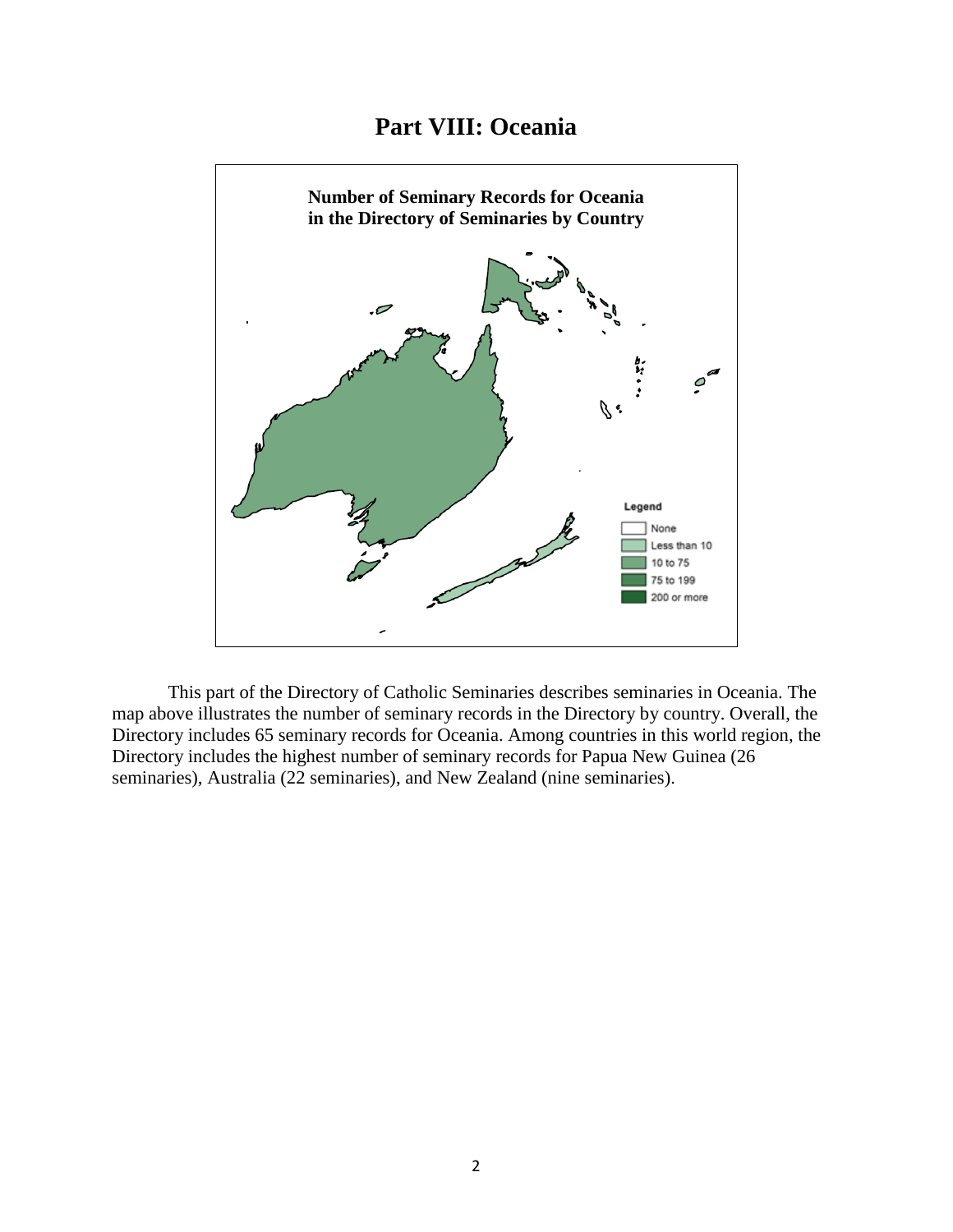# **Part VIII: Oceania**



This part of the Directory of Catholic Seminaries describes seminaries in Oceania. The map above illustrates the number of seminary records in the Directory by country. Overall, the Directory includes 65 seminary records for Oceania. Among countries in this world region, the Directory includes the highest number of seminary records for Papua New Guinea (26 seminaries), Australia (22 seminaries), and New Zealand (nine seminaries).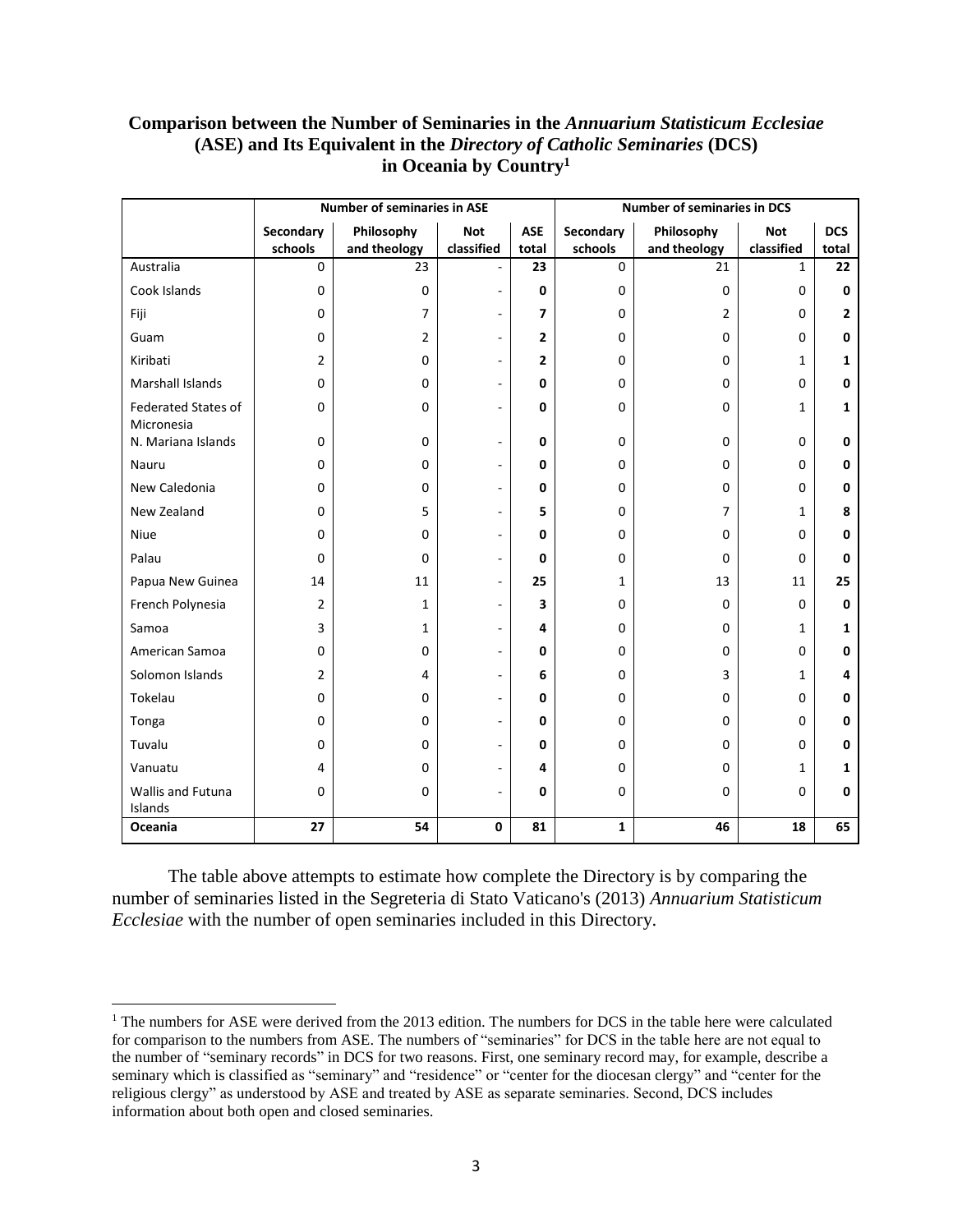#### **Comparison between the Number of Seminaries in the** *Annuarium Statisticum Ecclesiae* **(ASE) and Its Equivalent in the** *Directory of Catholic Seminaries* **(DCS) in Oceania by Country<sup>1</sup>**

|                                          | <b>Number of seminaries in ASE</b> |                |                          |                |                        | <b>Number of seminaries in DCS</b> |              |              |  |  |
|------------------------------------------|------------------------------------|----------------|--------------------------|----------------|------------------------|------------------------------------|--------------|--------------|--|--|
|                                          | Secondary                          | Philosophy     | <b>Not</b>               | <b>ASE</b>     | Secondary              | Philosophy                         | <b>Not</b>   | <b>DCS</b>   |  |  |
| Australia                                | schools<br>$\mathbf 0$             | and theology   | classified               | total          | schools<br>$\mathbf 0$ | and theology                       | classified   | total        |  |  |
|                                          |                                    | 23             |                          | 23             |                        | 21                                 | $\mathbf{1}$ | 22           |  |  |
| Cook Islands                             | $\mathbf 0$                        | $\Omega$       | $\overline{\phantom{a}}$ | 0              | $\Omega$               | $\Omega$                           | 0            | 0            |  |  |
| Fiji                                     | $\mathbf 0$                        | 7              | $\overline{\phantom{a}}$ | 7              | 0                      | $\overline{2}$                     | 0            | $\mathbf{2}$ |  |  |
| Guam                                     | $\mathbf 0$                        | $\overline{2}$ | $\overline{\phantom{a}}$ | $\overline{2}$ | 0                      | $\Omega$                           | 0            | 0            |  |  |
| Kiribati                                 | $\overline{2}$                     | 0              | $\overline{\phantom{a}}$ | $\overline{2}$ | 0                      | $\Omega$                           | $\mathbf{1}$ | 1            |  |  |
| <b>Marshall Islands</b>                  | $\Omega$                           | $\Omega$       | $\sim$                   | 0              | 0                      | $\Omega$                           | 0            | $\mathbf{0}$ |  |  |
| <b>Federated States of</b><br>Micronesia | $\mathbf 0$                        | 0              | ÷,                       | 0              | 0                      | $\Omega$                           | 1            | 1            |  |  |
| N. Mariana Islands                       | $\mathbf 0$                        | 0              | ÷,                       | 0              | 0                      | $\mathbf 0$                        | 0            | 0            |  |  |
| Nauru                                    | $\mathbf 0$                        | 0              | $\overline{\phantom{a}}$ | 0              | 0                      | $\Omega$                           | 0            | 0            |  |  |
| New Caledonia                            | $\mathbf 0$                        | $\Omega$       | ÷.                       | 0              | 0                      | $\Omega$                           | 0            | 0            |  |  |
| New Zealand                              | $\mathbf 0$                        | 5              | $\overline{\phantom{a}}$ | 5              | 0                      | $\overline{7}$                     | 1            | 8            |  |  |
| <b>Niue</b>                              | $\mathbf 0$                        | 0              | $\overline{\phantom{a}}$ | 0              | 0                      | $\Omega$                           | 0            | 0            |  |  |
| Palau                                    | $\Omega$                           | $\Omega$       | $\overline{\phantom{a}}$ | 0              | 0                      | $\Omega$                           | 0            | $\mathbf{0}$ |  |  |
| Papua New Guinea                         | 14                                 | 11             | $\overline{\phantom{a}}$ | 25             | $\mathbf{1}$           | 13                                 | 11           | 25           |  |  |
| French Polynesia                         | $\overline{2}$                     | 1              | $\overline{\phantom{a}}$ | 3              | 0                      | $\Omega$                           | 0            | $\mathbf{0}$ |  |  |
| Samoa                                    | 3                                  | 1              | ÷,                       | 4              | 0                      | $\mathbf 0$                        | 1            | 1            |  |  |
| American Samoa                           | $\mathbf 0$                        | 0              | $\overline{\phantom{a}}$ | 0              | 0                      | $\mathbf 0$                        | 0            | 0            |  |  |
| Solomon Islands                          | $\overline{2}$                     | 4              | ۰                        | 6              | 0                      | 3                                  | 1            | 4            |  |  |
| Tokelau                                  | $\mathbf 0$                        | 0              | $\overline{\phantom{a}}$ | 0              | 0                      | $\Omega$                           | 0            | 0            |  |  |
| Tonga                                    | $\mathbf 0$                        | 0              | $\overline{\phantom{a}}$ | 0              | 0                      | $\Omega$                           | 0            | 0            |  |  |
| Tuvalu                                   | $\mathbf 0$                        | 0              | $\overline{\phantom{a}}$ | 0              | 0                      | $\Omega$                           | 0            | 0            |  |  |
| Vanuatu                                  | 4                                  | 0              | $\sim$                   | 4              | 0                      | $\Omega$                           | $\mathbf{1}$ | 1            |  |  |
| Wallis and Futuna<br>Islands             | $\mathbf 0$                        | 0              | $\overline{\phantom{a}}$ | 0              | 0                      | $\Omega$                           | 0            | 0            |  |  |
| Oceania                                  | 27                                 | 54             | $\mathbf 0$              | 81             | $\mathbf{1}$           | 46                                 | 18           | 65           |  |  |

The table above attempts to estimate how complete the Directory is by comparing the number of seminaries listed in the Segreteria di Stato Vaticano's (2013) *Annuarium Statisticum Ecclesiae* with the number of open seminaries included in this Directory.

l

<sup>&</sup>lt;sup>1</sup> The numbers for ASE were derived from the 2013 edition. The numbers for DCS in the table here were calculated for comparison to the numbers from ASE. The numbers of "seminaries" for DCS in the table here are not equal to the number of "seminary records" in DCS for two reasons. First, one seminary record may, for example, describe a seminary which is classified as "seminary" and "residence" or "center for the diocesan clergy" and "center for the religious clergy" as understood by ASE and treated by ASE as separate seminaries. Second, DCS includes information about both open and closed seminaries.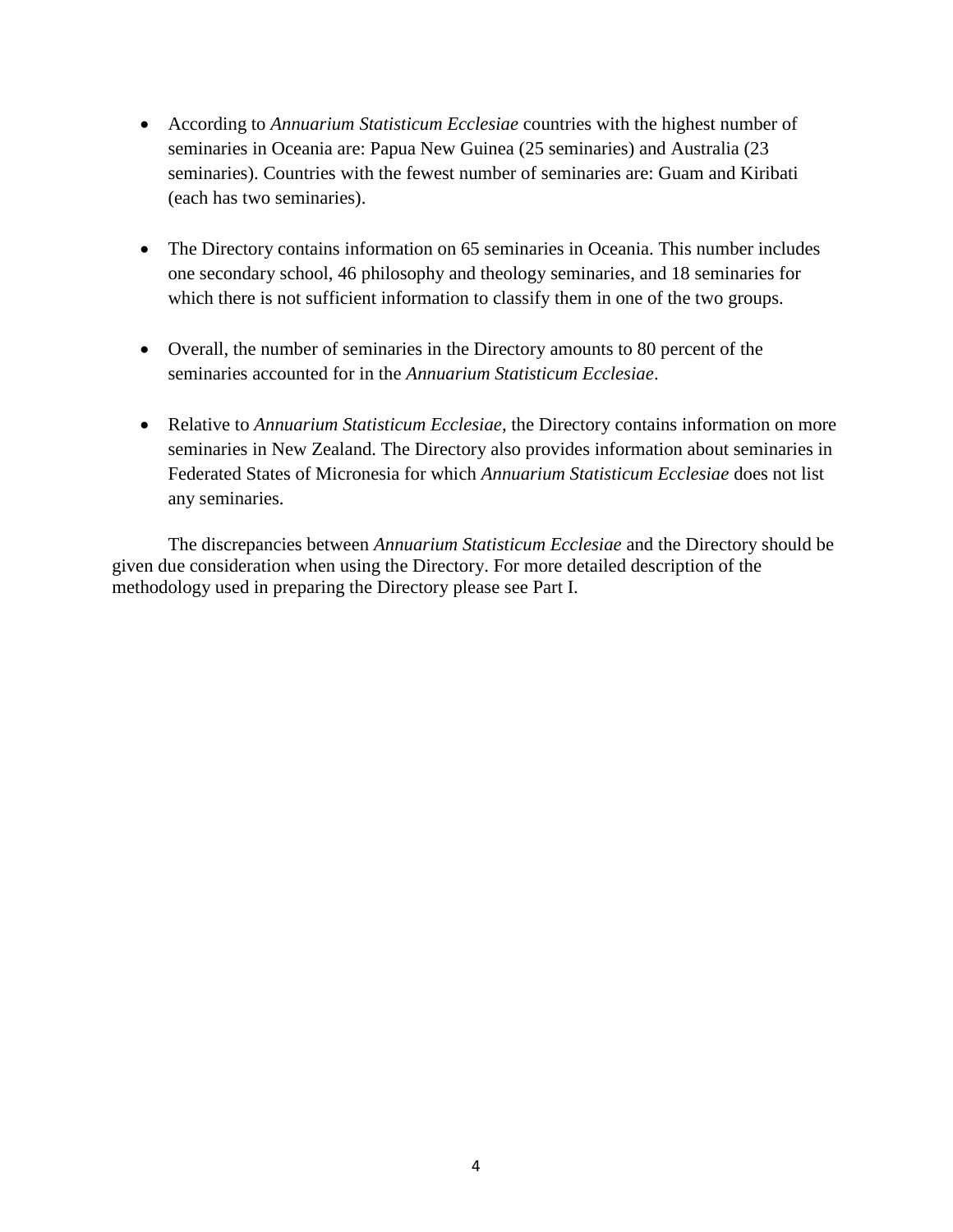- According to *Annuarium Statisticum Ecclesiae* countries with the highest number of seminaries in Oceania are: Papua New Guinea (25 seminaries) and Australia (23 seminaries). Countries with the fewest number of seminaries are: Guam and Kiribati (each has two seminaries).
- The Directory contains information on 65 seminaries in Oceania. This number includes one secondary school, 46 philosophy and theology seminaries, and 18 seminaries for which there is not sufficient information to classify them in one of the two groups.
- Overall, the number of seminaries in the Directory amounts to 80 percent of the seminaries accounted for in the *Annuarium Statisticum Ecclesiae*.
- Relative to *Annuarium Statisticum Ecclesiae*, the Directory contains information on more seminaries in New Zealand. The Directory also provides information about seminaries in Federated States of Micronesia for which *Annuarium Statisticum Ecclesiae* does not list any seminaries.

The discrepancies between *Annuarium Statisticum Ecclesiae* and the Directory should be given due consideration when using the Directory. For more detailed description of the methodology used in preparing the Directory please see Part I.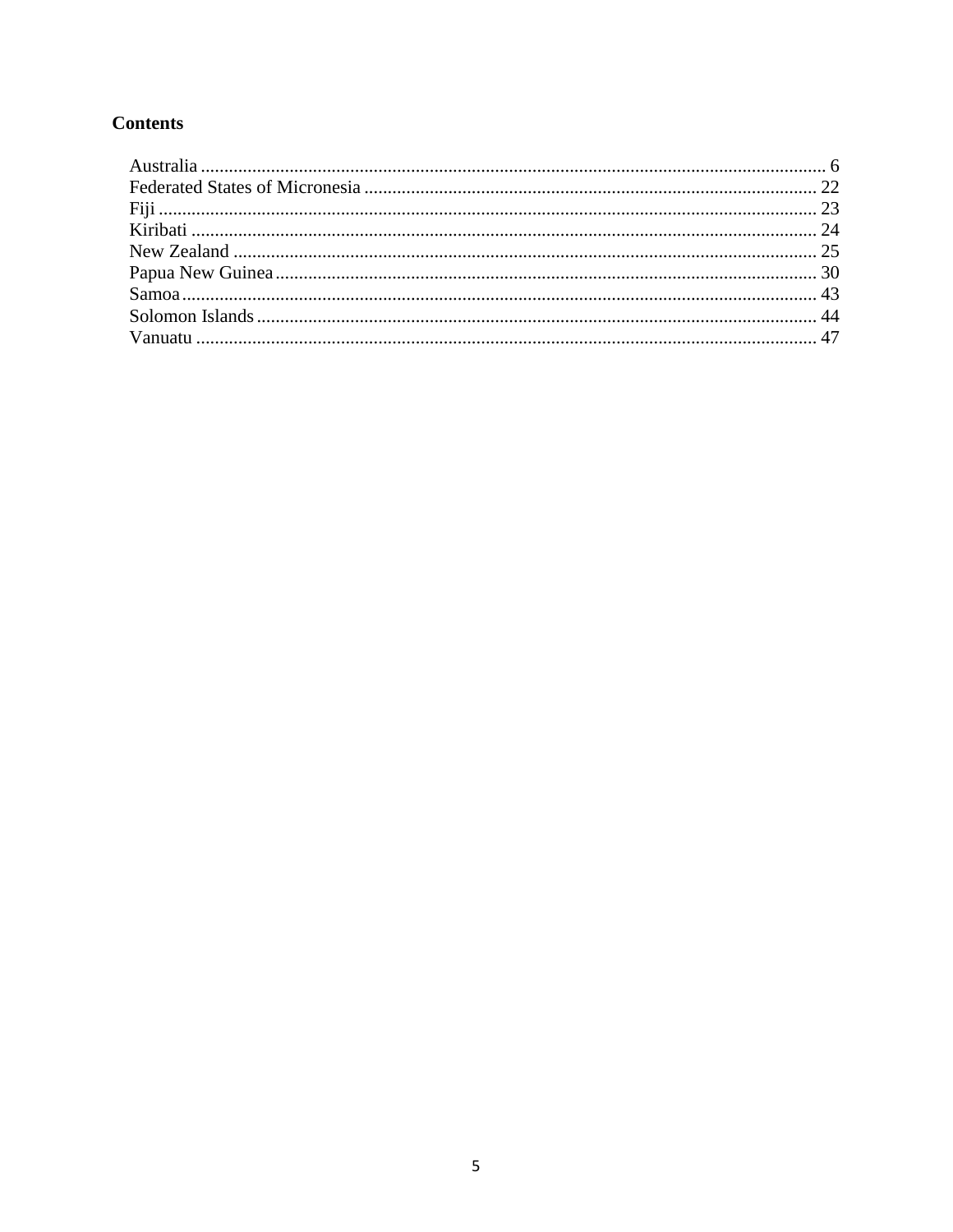# **Contents**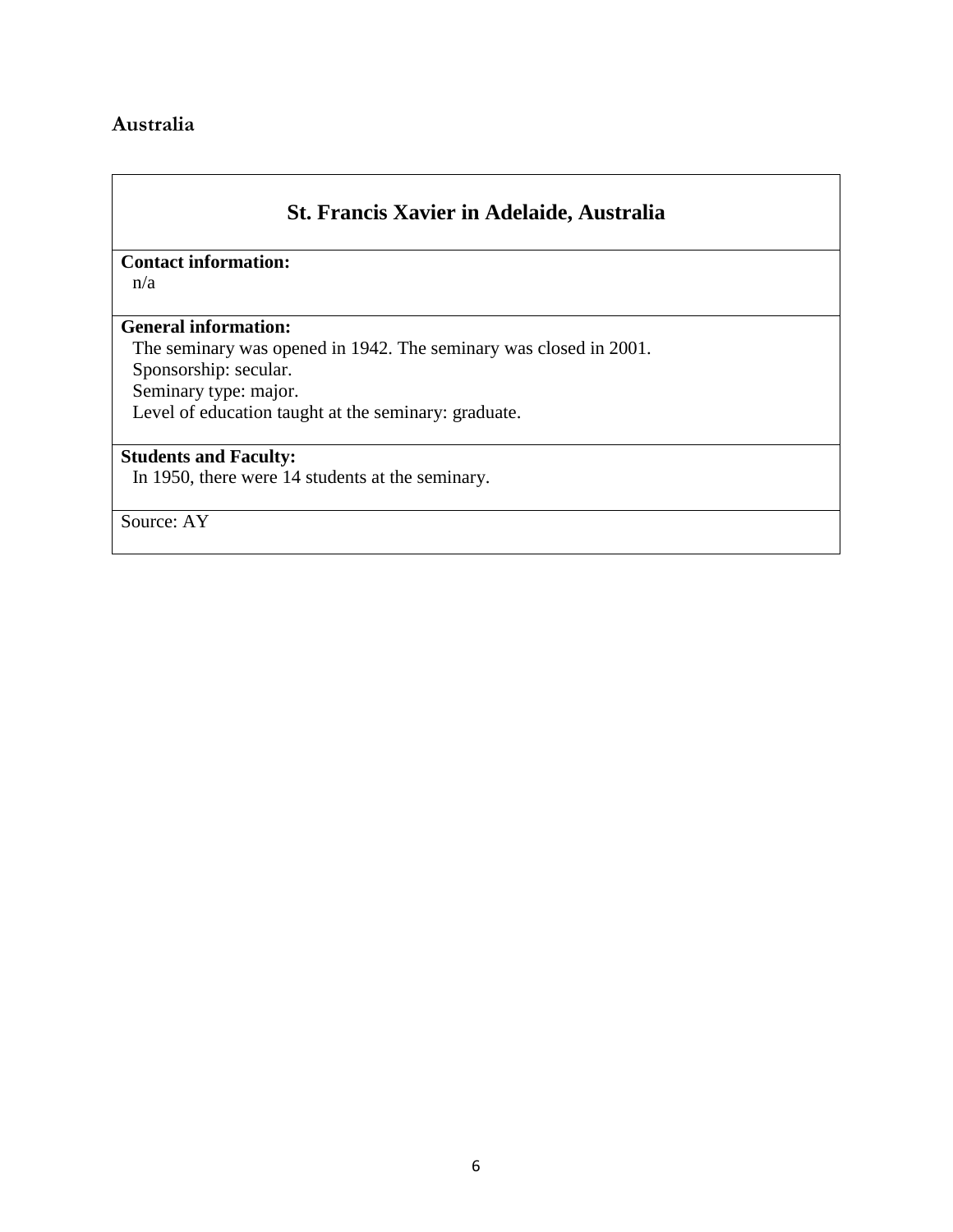### <span id="page-5-0"></span>**Australia**

# **St. Francis Xavier in Adelaide, Australia**

## **Contact information:**

n/a

#### **General information:**

The seminary was opened in 1942. The seminary was closed in 2001.

Sponsorship: secular.

Seminary type: major.

Level of education taught at the seminary: graduate.

### **Students and Faculty:**

In 1950, there were 14 students at the seminary.

Source: AY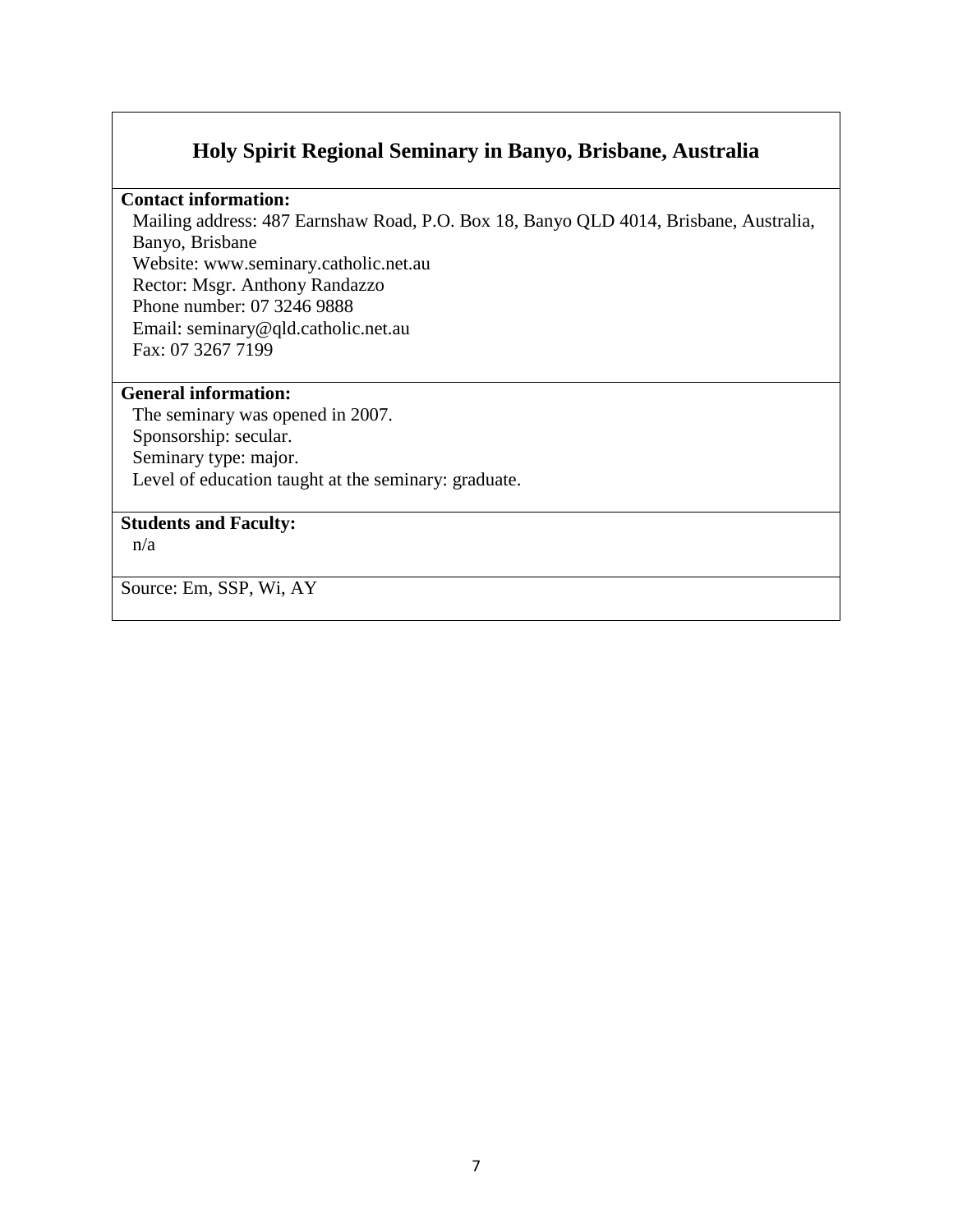# **Holy Spirit Regional Seminary in Banyo, Brisbane, Australia**

#### **Contact information:**

Mailing address: 487 Earnshaw Road, P.O. Box 18, Banyo QLD 4014, Brisbane, Australia, Banyo, Brisbane Website: www.seminary.catholic.net.au Rector: Msgr. Anthony Randazzo Phone number: 07 3246 9888 Email: seminary@qld.catholic.net.au Fax: 07 3267 7199

#### **General information:**

The seminary was opened in 2007. Sponsorship: secular. Seminary type: major. Level of education taught at the seminary: graduate.

#### **Students and Faculty:**

n/a

Source: Em, SSP, Wi, AY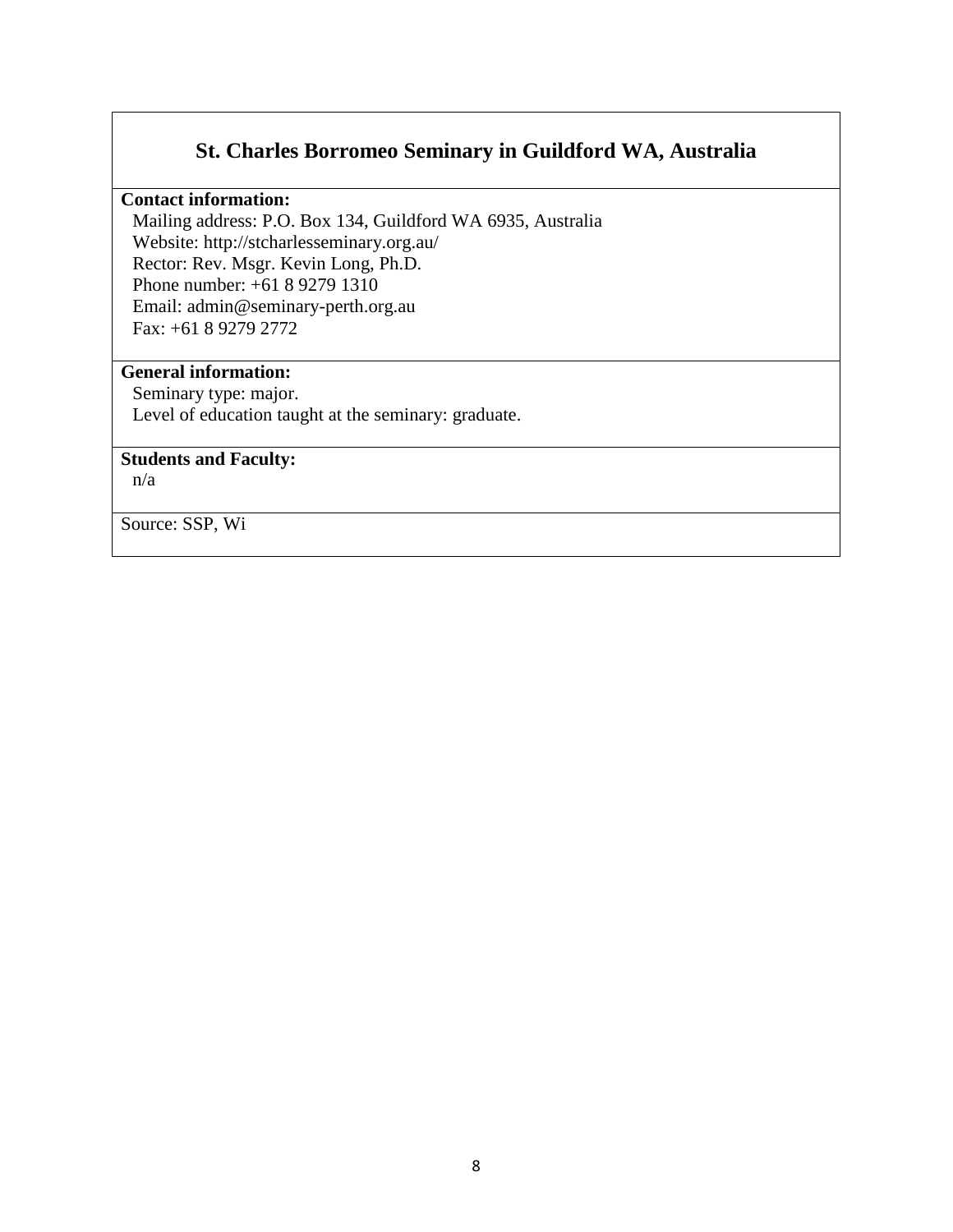# **St. Charles Borromeo Seminary in Guildford WA, Australia**

#### **Contact information:**

Mailing address: P.O. Box 134, Guildford WA 6935, Australia Website: http://stcharlesseminary.org.au/ Rector: Rev. Msgr. Kevin Long, Ph.D. Phone number: +61 8 9279 1310 Email: admin@seminary-perth.org.au Fax: +61 8 9279 2772

### **General information:**

Seminary type: major. Level of education taught at the seminary: graduate.

### **Students and Faculty:**

n/a

Source: SSP, Wi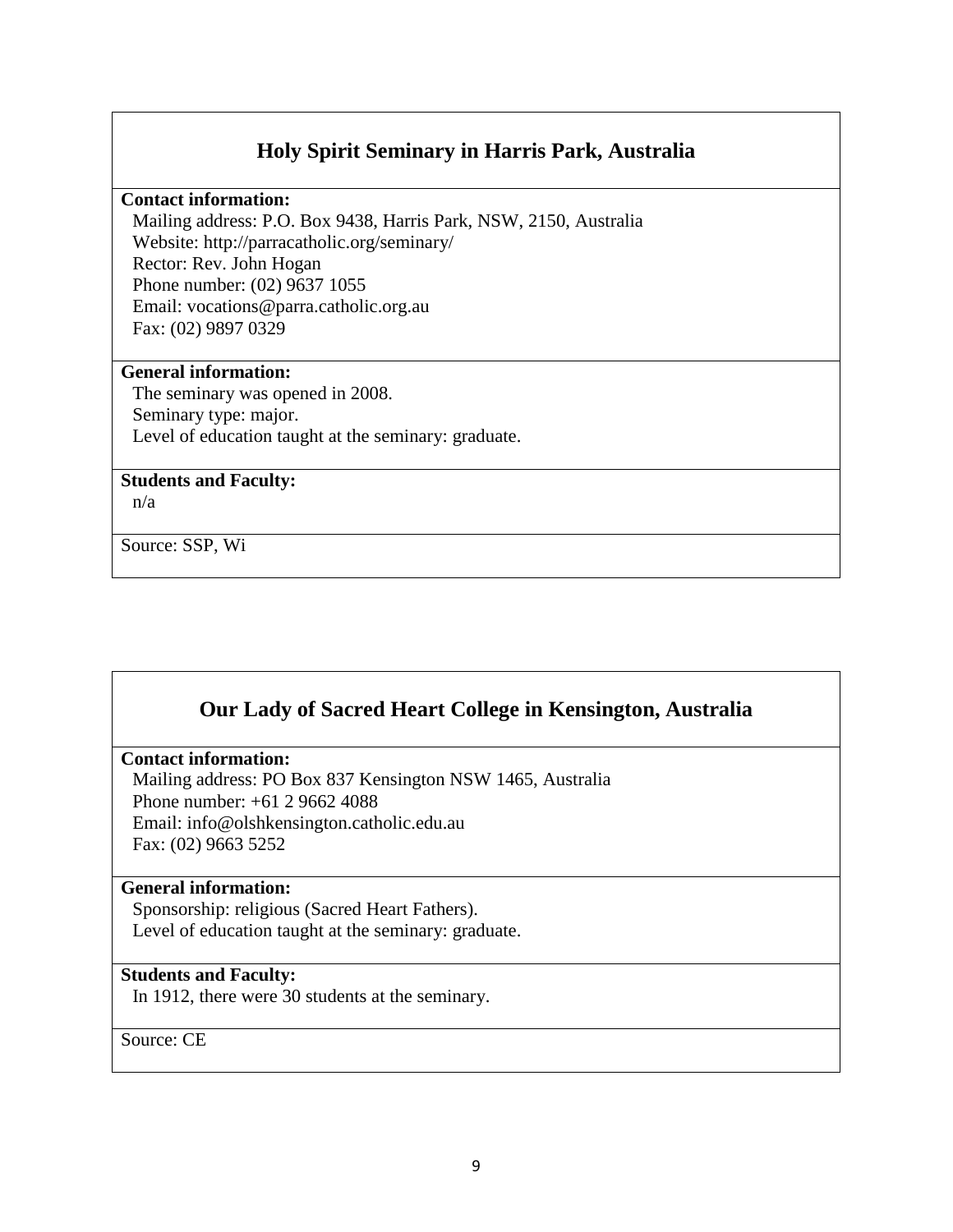# **Holy Spirit Seminary in Harris Park, Australia**

#### **Contact information:**

Mailing address: P.O. Box 9438, Harris Park, NSW, 2150, Australia Website: http://parracatholic.org/seminary/ Rector: Rev. John Hogan Phone number: (02) 9637 1055 Email: vocations@parra.catholic.org.au Fax: (02) 9897 0329

### **General information:**

The seminary was opened in 2008. Seminary type: major. Level of education taught at the seminary: graduate.

#### **Students and Faculty:**

n/a

Source: SSP, Wi

# **Our Lady of Sacred Heart College in Kensington, Australia**

#### **Contact information:**

Mailing address: PO Box 837 Kensington NSW 1465, Australia Phone number: +61 2 9662 4088 Email: info@olshkensington.catholic.edu.au Fax: (02) 9663 5252

#### **General information:**

Sponsorship: religious (Sacred Heart Fathers). Level of education taught at the seminary: graduate.

#### **Students and Faculty:**

In 1912, there were 30 students at the seminary.

Source: CE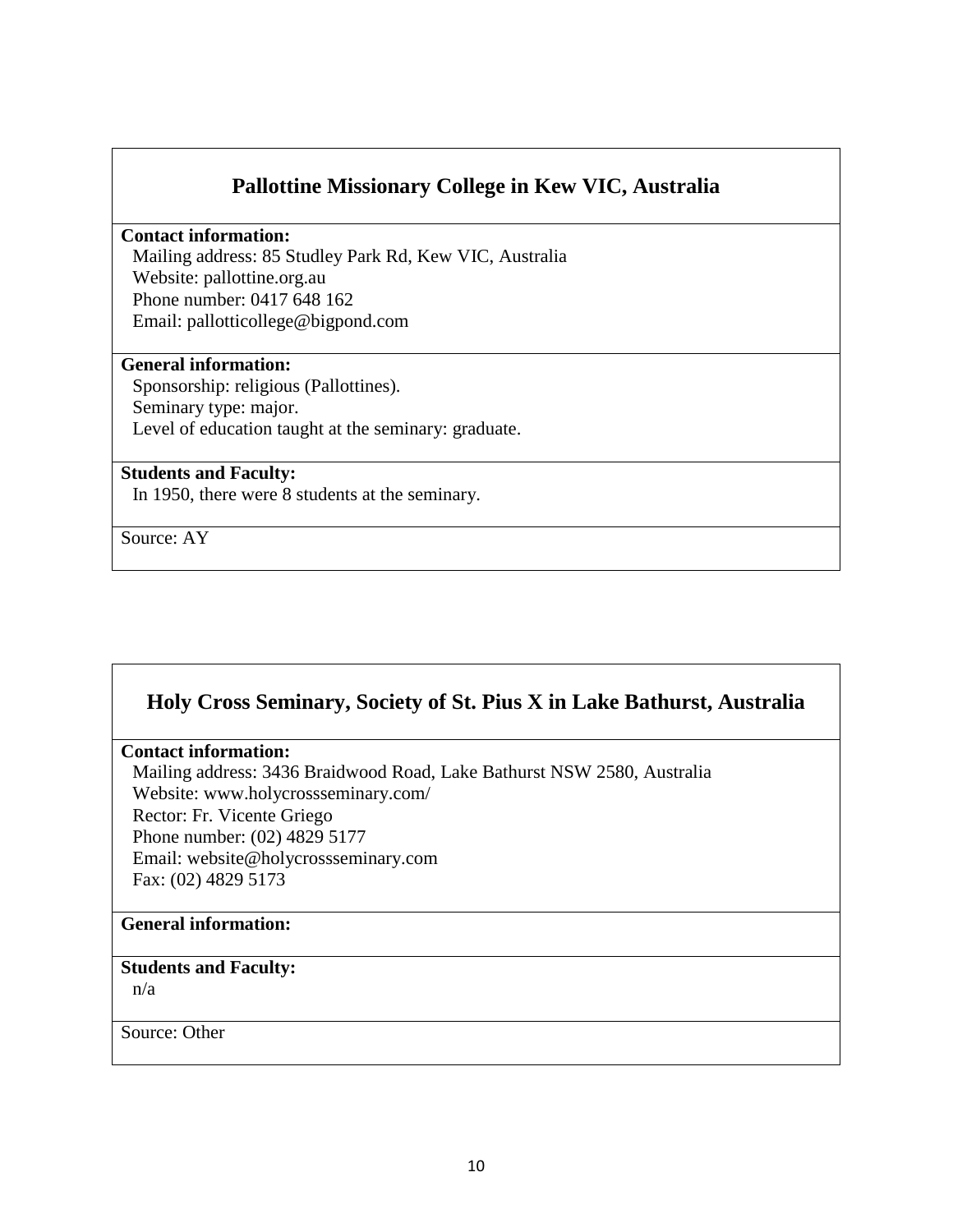# **Pallottine Missionary College in Kew VIC, Australia**

#### **Contact information:**

Mailing address: 85 Studley Park Rd, Kew VIC, Australia Website: pallottine.org.au Phone number: 0417 648 162 Email: pallotticollege@bigpond.com

#### **General information:**

Sponsorship: religious (Pallottines). Seminary type: major. Level of education taught at the seminary: graduate.

#### **Students and Faculty:**

In 1950, there were 8 students at the seminary.

Source: AY

# **Holy Cross Seminary, Society of St. Pius X in Lake Bathurst, Australia**

#### **Contact information:**

Mailing address: 3436 Braidwood Road, Lake Bathurst NSW 2580, Australia Website: www.holycrossseminary.com/ Rector: Fr. Vicente Griego Phone number: (02) 4829 5177 Email: website@holycrossseminary.com Fax: (02) 4829 5173

### **General information:**

#### **Students and Faculty:**

n/a

Source: Other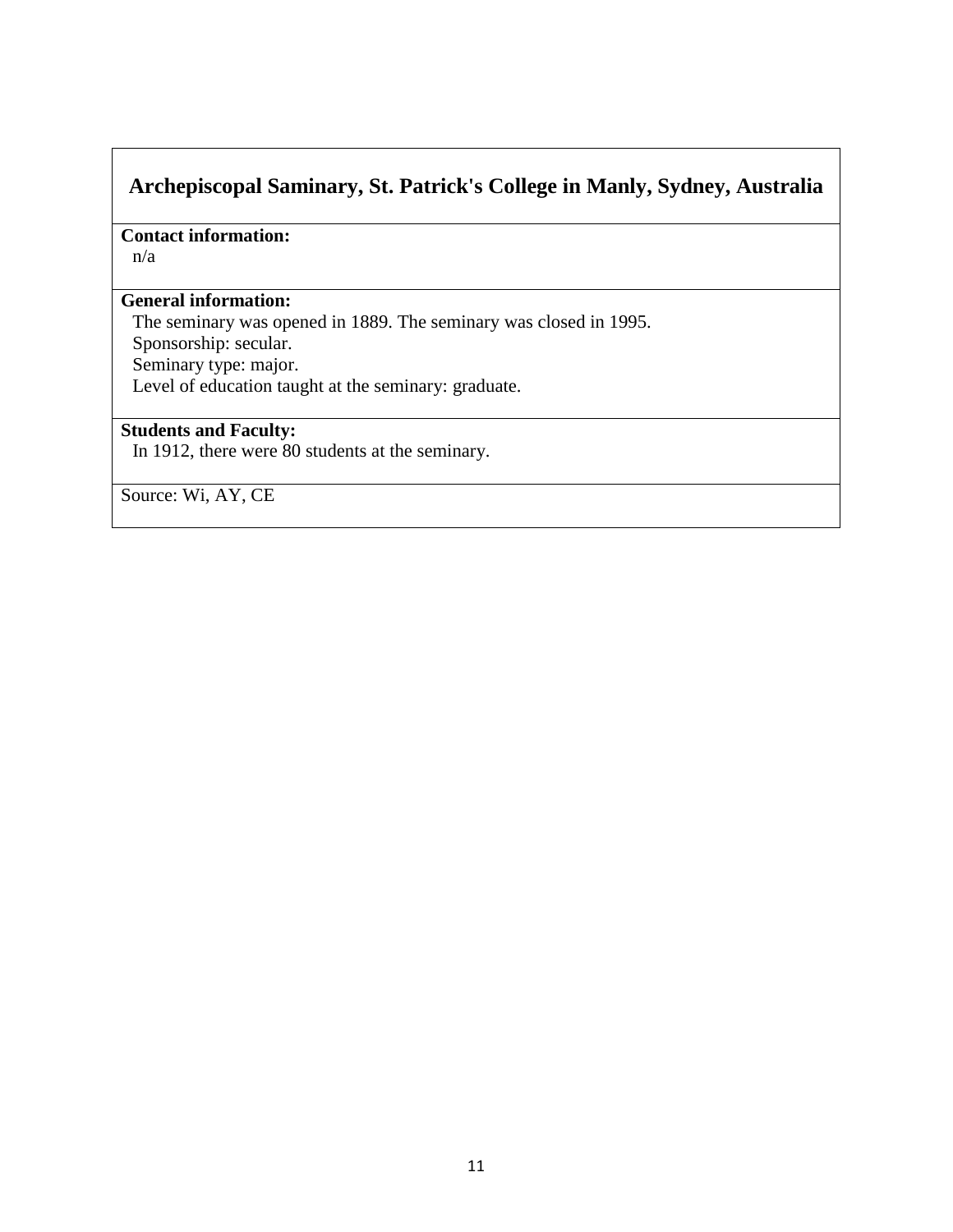# **Archepiscopal Saminary, St. Patrick's College in Manly, Sydney, Australia**

**Contact information:**  n/a

### **General information:**

The seminary was opened in 1889. The seminary was closed in 1995. Sponsorship: secular. Seminary type: major.

Level of education taught at the seminary: graduate.

# **Students and Faculty:**

In 1912, there were 80 students at the seminary.

Source: Wi, AY, CE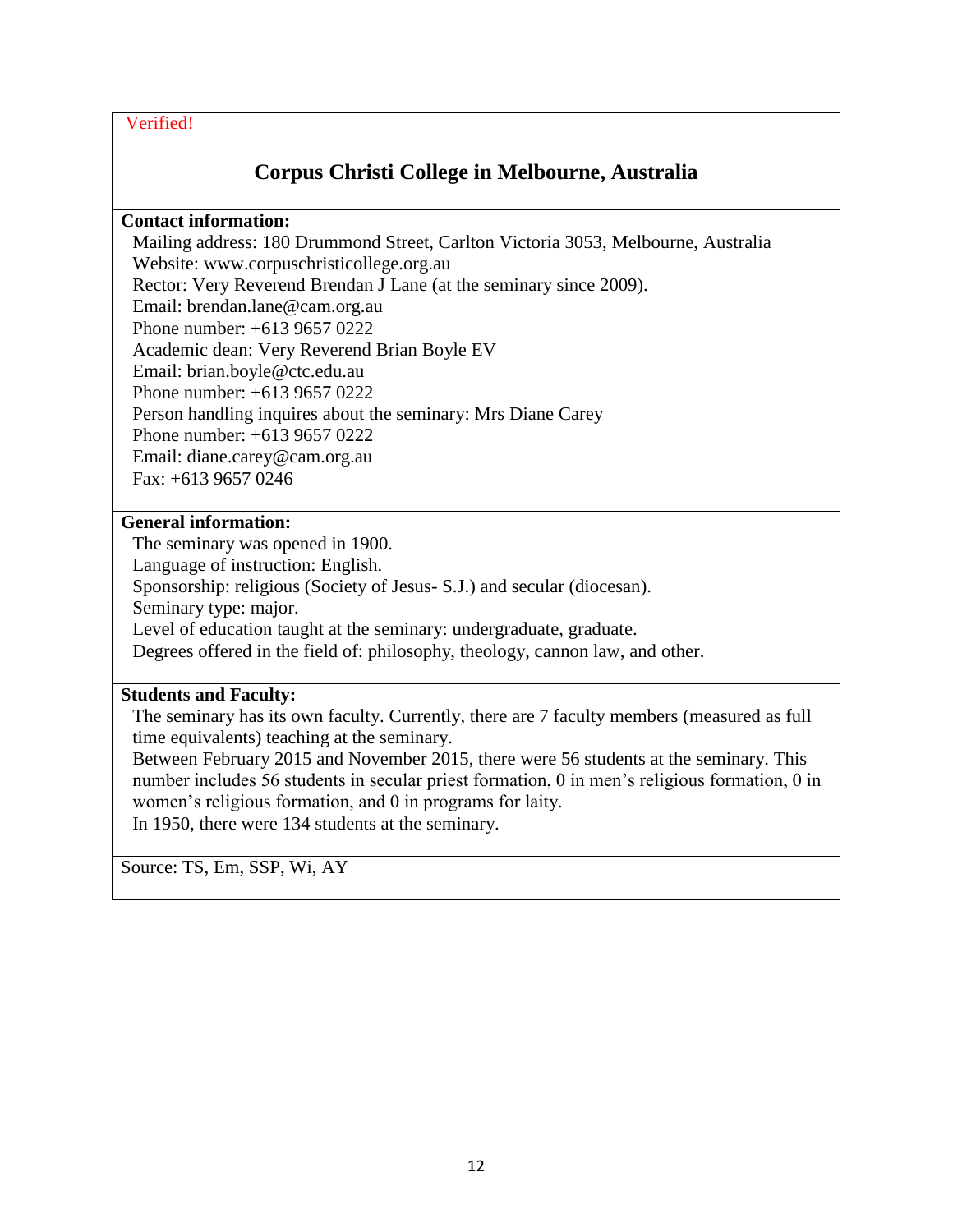# **Corpus Christi College in Melbourne, Australia**

### **Contact information:**

Mailing address: 180 Drummond Street, Carlton Victoria 3053, Melbourne, Australia Website: www.corpuschristicollege.org.au Rector: Very Reverend Brendan J Lane (at the seminary since 2009). Email: brendan.lane@cam.org.au Phone number: +613 9657 0222 Academic dean: Very Reverend Brian Boyle EV Email: brian.boyle@ctc.edu.au Phone number: +613 9657 0222 Person handling inquires about the seminary: Mrs Diane Carey Phone number: +613 9657 0222 Email: diane.carey@cam.org.au Fax: +613 9657 0246

### **General information:**

The seminary was opened in 1900. Language of instruction: English. Sponsorship: religious (Society of Jesus- S.J.) and secular (diocesan). Seminary type: major. Level of education taught at the seminary: undergraduate, graduate. Degrees offered in the field of: philosophy, theology, cannon law, and other.

### **Students and Faculty:**

The seminary has its own faculty. Currently, there are 7 faculty members (measured as full time equivalents) teaching at the seminary.

Between February 2015 and November 2015, there were 56 students at the seminary. This number includes 56 students in secular priest formation, 0 in men's religious formation, 0 in women's religious formation, and 0 in programs for laity. In 1950, there were 134 students at the seminary.

Source: TS, Em, SSP, Wi, AY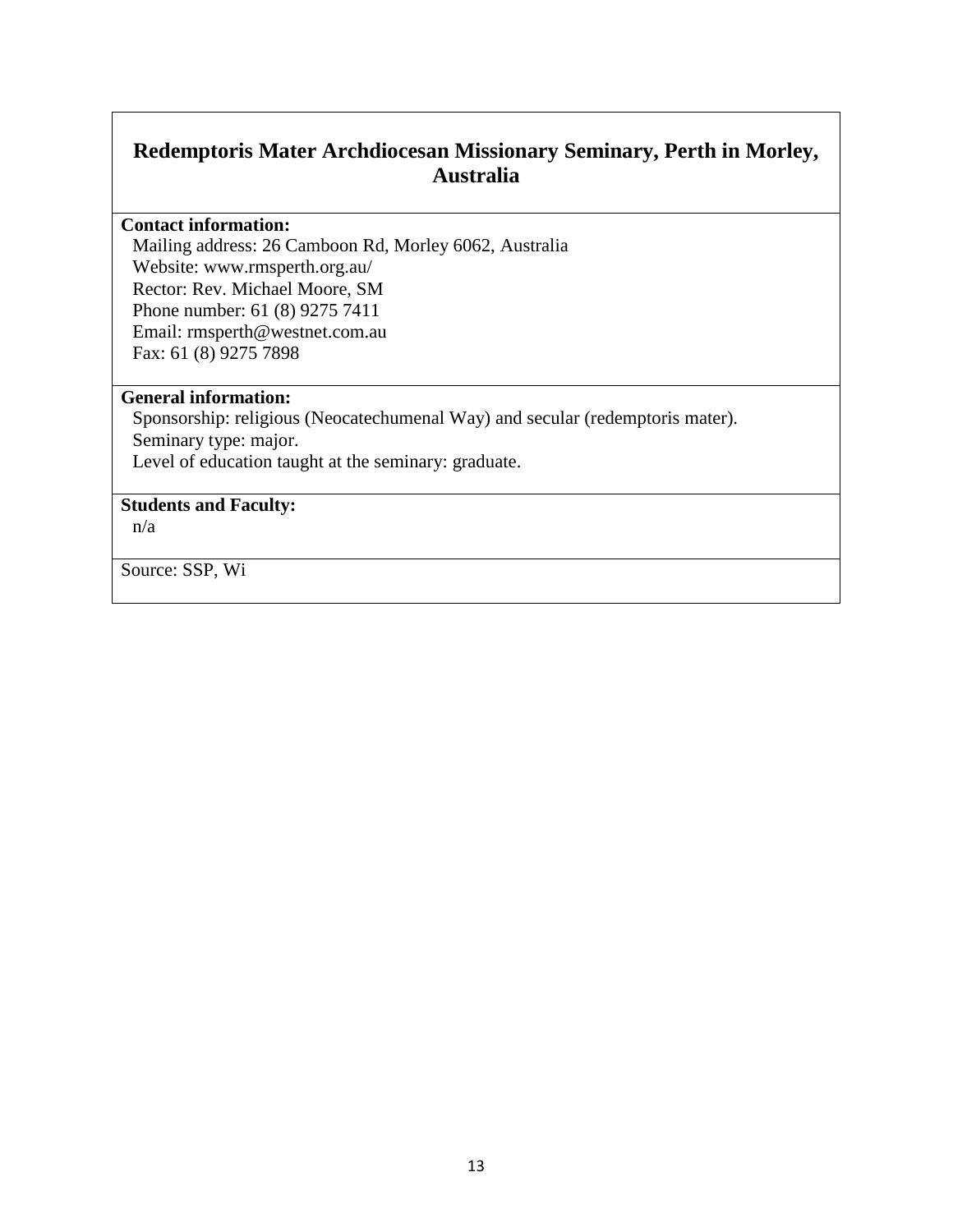# **Redemptoris Mater Archdiocesan Missionary Seminary, Perth in Morley, Australia**

#### **Contact information:**

Mailing address: 26 Camboon Rd, Morley 6062, Australia Website: www.rmsperth.org.au/ Rector: Rev. Michael Moore, SM Phone number: 61 (8) 9275 7411 Email: rmsperth@westnet.com.au Fax: 61 (8) 9275 7898

#### **General information:**

Sponsorship: religious (Neocatechumenal Way) and secular (redemptoris mater). Seminary type: major. Level of education taught at the seminary: graduate.

### **Students and Faculty:**

n/a

Source: SSP, Wi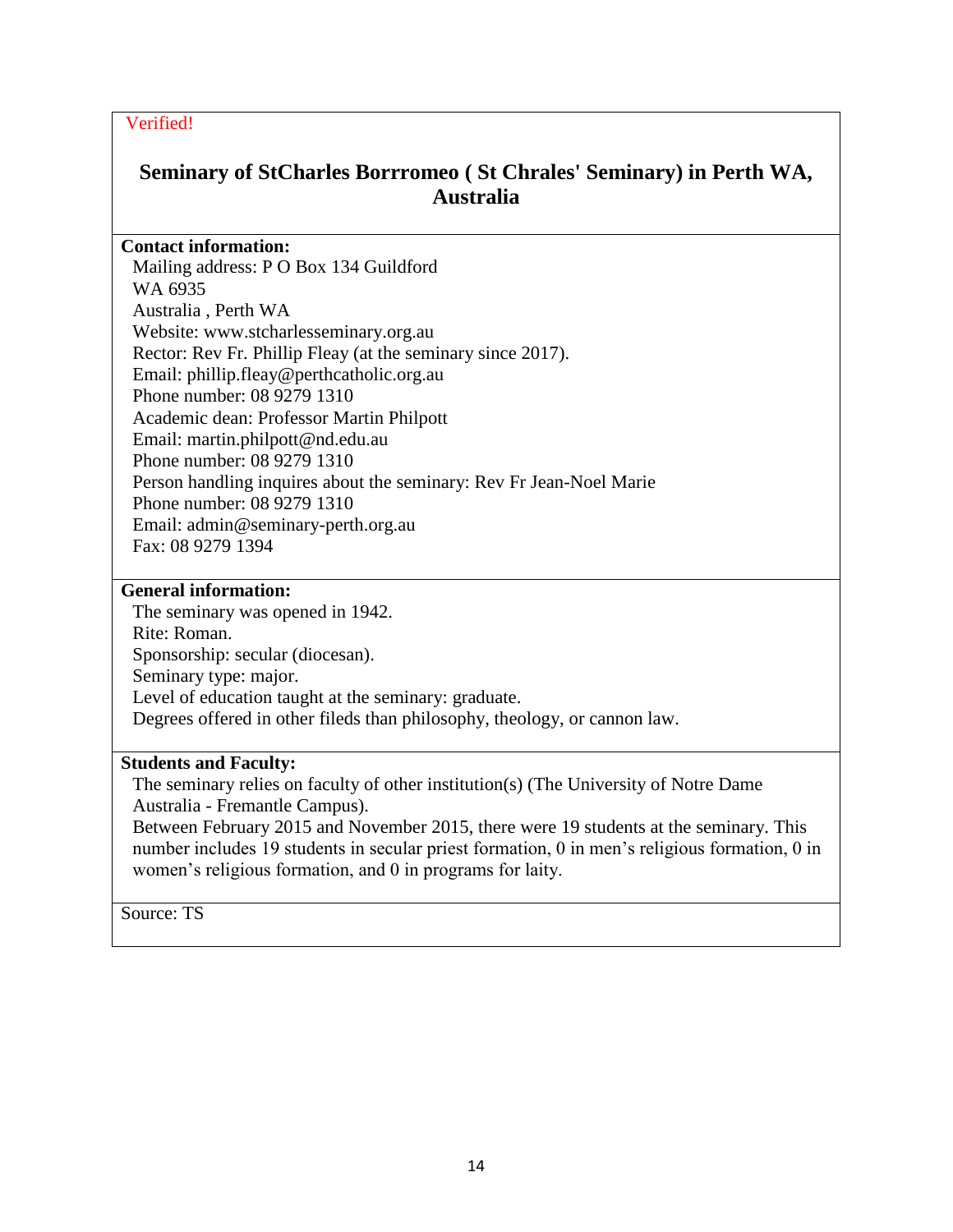# **Seminary of StCharles Borrromeo ( St Chrales' Seminary) in Perth WA, Australia**

### **Contact information:**

Mailing address: P O Box 134 Guildford WA 6935 Australia , Perth WA Website: www.stcharlesseminary.org.au Rector: Rev Fr. Phillip Fleay (at the seminary since 2017). Email: phillip.fleay@perthcatholic.org.au Phone number: 08 9279 1310 Academic dean: Professor Martin Philpott Email: martin.philpott@nd.edu.au Phone number: 08 9279 1310 Person handling inquires about the seminary: Rev Fr Jean-Noel Marie Phone number: 08 9279 1310 Email: admin@seminary-perth.org.au Fax: 08 9279 1394

#### **General information:**

The seminary was opened in 1942. Rite: Roman. Sponsorship: secular (diocesan). Seminary type: major. Level of education taught at the seminary: graduate. Degrees offered in other fileds than philosophy, theology, or cannon law.

#### **Students and Faculty:**

The seminary relies on faculty of other institution(s) (The University of Notre Dame Australia - Fremantle Campus).

Between February 2015 and November 2015, there were 19 students at the seminary. This number includes 19 students in secular priest formation, 0 in men's religious formation, 0 in women's religious formation, and 0 in programs for laity.

Source: TS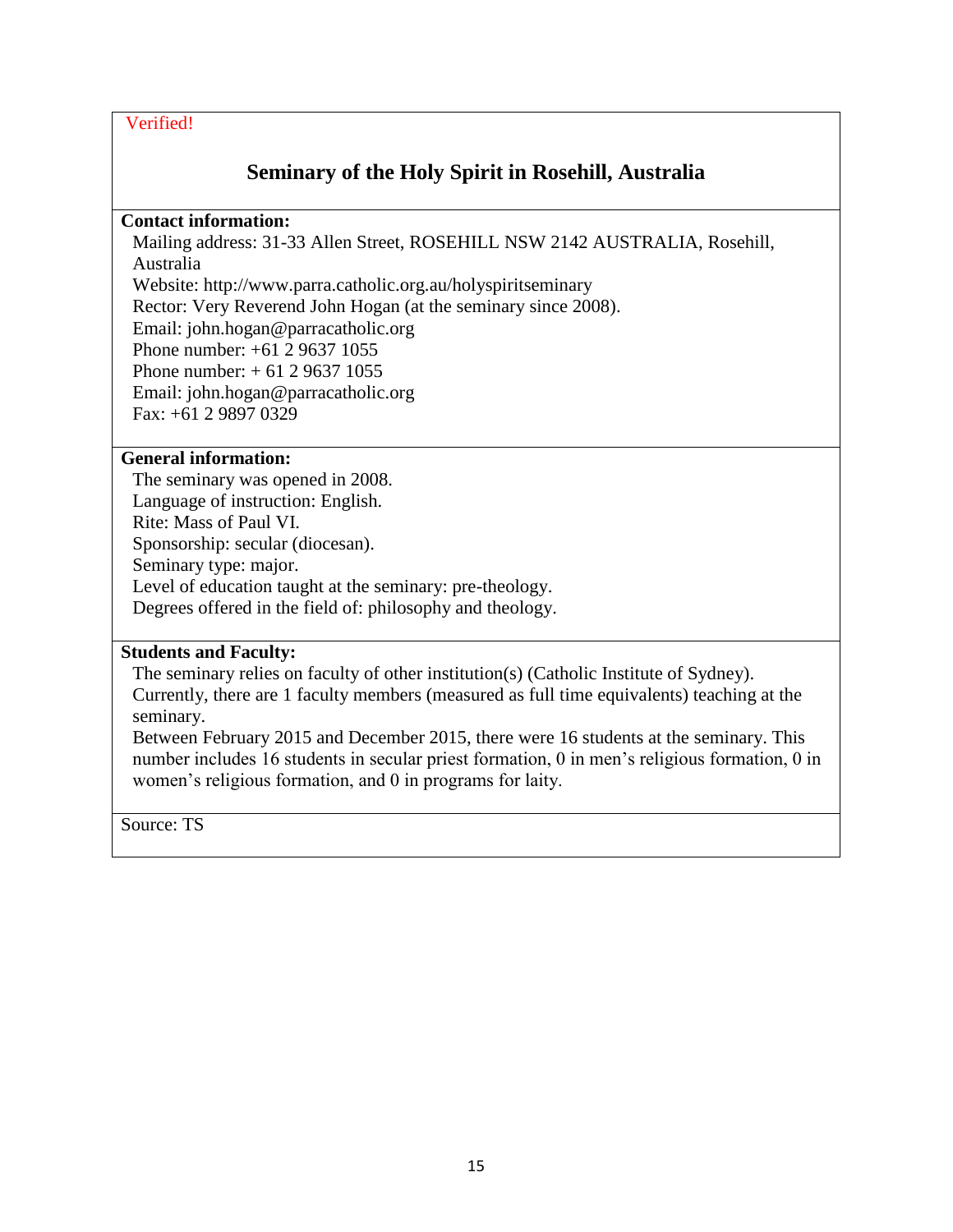# **Seminary of the Holy Spirit in Rosehill, Australia**

#### **Contact information:**

Mailing address: 31-33 Allen Street, ROSEHILL NSW 2142 AUSTRALIA, Rosehill, Australia

Website: http://www.parra.catholic.org.au/holyspiritseminary

Rector: Very Reverend John Hogan (at the seminary since 2008).

Email: john.hogan@parracatholic.org Phone number: +61 2 9637 1055

Phone number: + 61 2 9637 1055

Email: john.hogan@parracatholic.org

Fax: +61 2 9897 0329

#### **General information:**

The seminary was opened in 2008. Language of instruction: English. Rite: Mass of Paul VI. Sponsorship: secular (diocesan). Seminary type: major. Level of education taught at the seminary: pre-theology. Degrees offered in the field of: philosophy and theology.

#### **Students and Faculty:**

The seminary relies on faculty of other institution(s) (Catholic Institute of Sydney). Currently, there are 1 faculty members (measured as full time equivalents) teaching at the seminary.

Between February 2015 and December 2015, there were 16 students at the seminary. This number includes 16 students in secular priest formation, 0 in men's religious formation, 0 in women's religious formation, and 0 in programs for laity.

Source: TS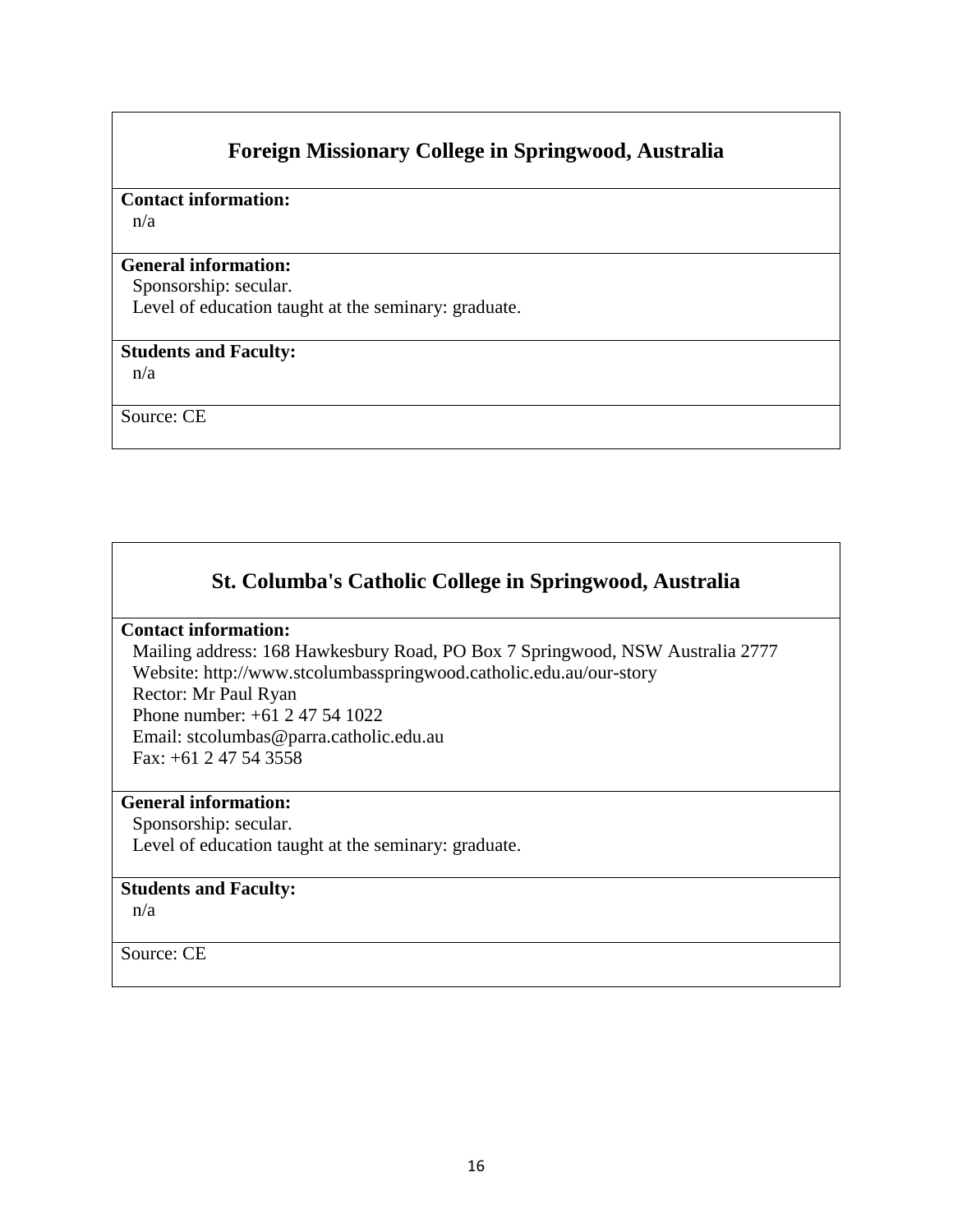# **Foreign Missionary College in Springwood, Australia**

### **Contact information:**

n/a

#### **General information:**

Sponsorship: secular. Level of education taught at the seminary: graduate.

### **Students and Faculty:**

n/a

Source: CE

# **St. Columba's Catholic College in Springwood, Australia**

#### **Contact information:**

Mailing address: 168 Hawkesbury Road, PO Box 7 Springwood, NSW Australia 2777 Website: http://www.stcolumbasspringwood.catholic.edu.au/our-story

Rector: Mr Paul Ryan Phone number: +61 2 47 54 1022 Email: stcolumbas@parra.catholic.edu.au Fax: +61 2 47 54 3558

#### **General information:**

Sponsorship: secular.

Level of education taught at the seminary: graduate.

#### **Students and Faculty:**

n/a

Source: CE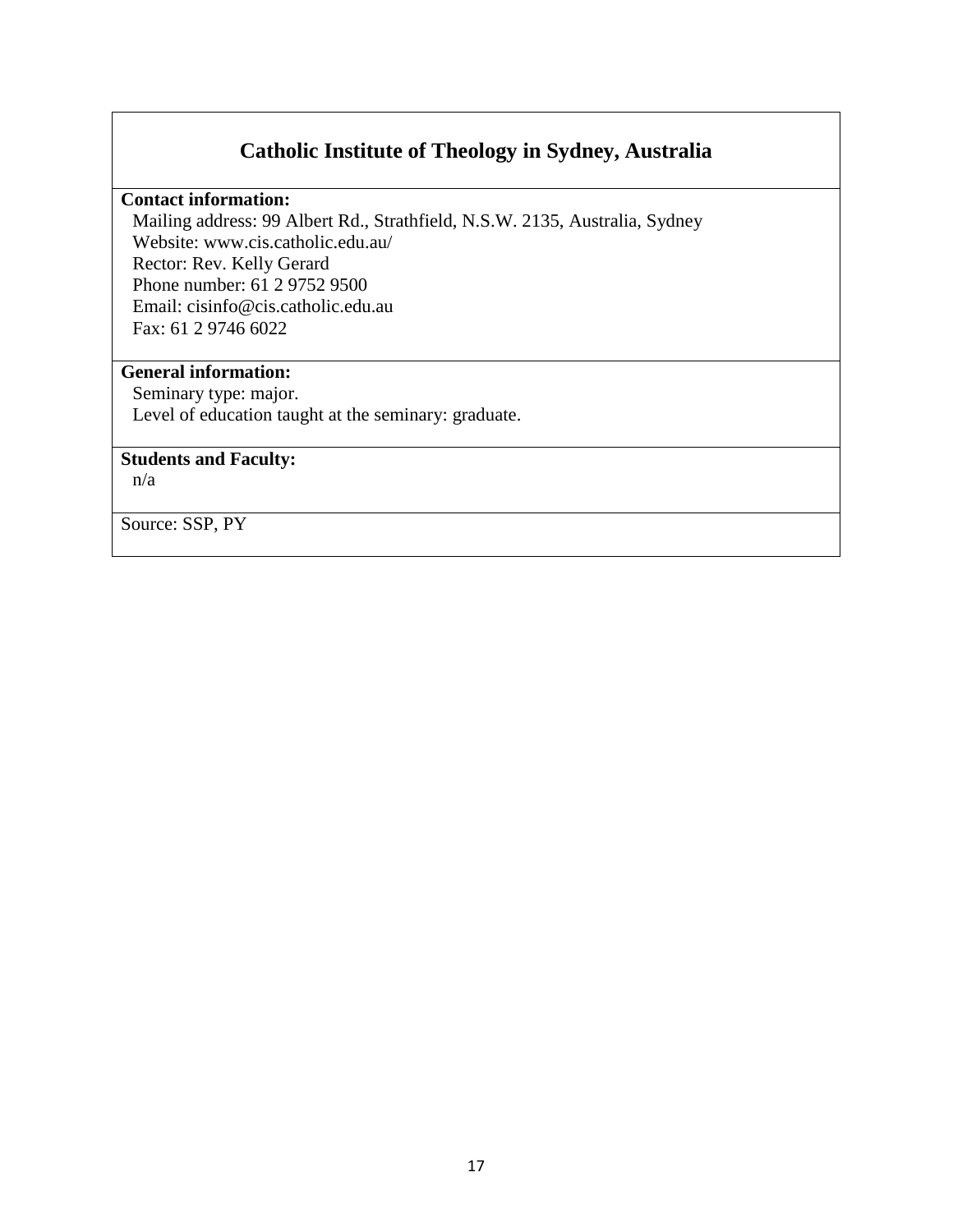# **Catholic Institute of Theology in Sydney, Australia**

#### **Contact information:**

Mailing address: 99 Albert Rd., Strathfield, N.S.W. 2135, Australia, Sydney Website: www.cis.catholic.edu.au/ Rector: Rev. Kelly Gerard Phone number: 61 2 9752 9500 Email: cisinfo@cis.catholic.edu.au Fax: 61 2 9746 6022

## **General information:**

Seminary type: major. Level of education taught at the seminary: graduate.

### **Students and Faculty:**

n/a

Source: SSP, PY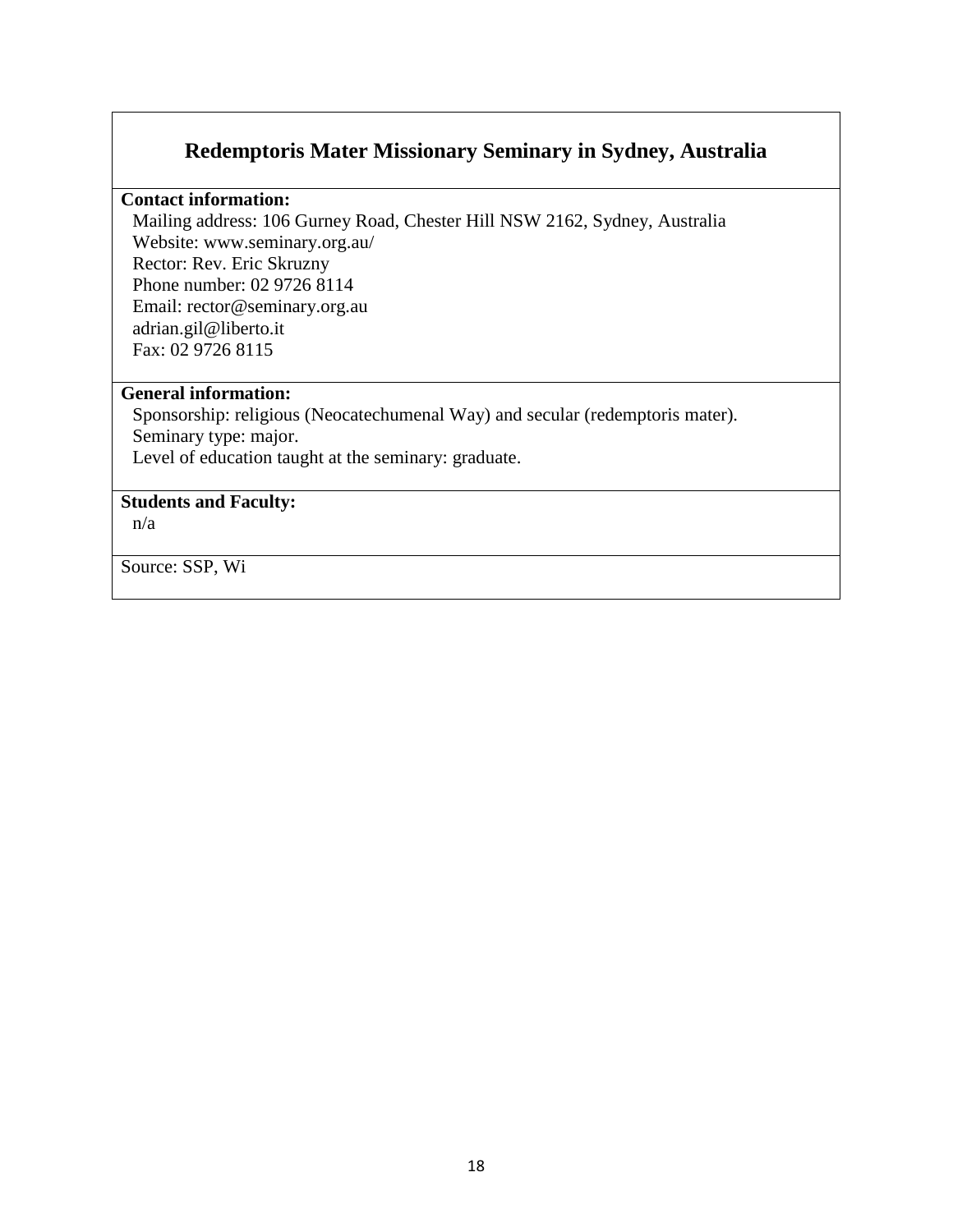# **Redemptoris Mater Missionary Seminary in Sydney, Australia**

#### **Contact information:**

Mailing address: 106 Gurney Road, Chester Hill NSW 2162, Sydney, Australia Website: www.seminary.org.au/ Rector: Rev. Eric Skruzny Phone number: 02 9726 8114 Email: rector@seminary.org.au adrian.gil@liberto.it Fax: 02 9726 8115

#### **General information:**

Sponsorship: religious (Neocatechumenal Way) and secular (redemptoris mater). Seminary type: major. Level of education taught at the seminary: graduate.

### **Students and Faculty:**

n/a

Source: SSP, Wi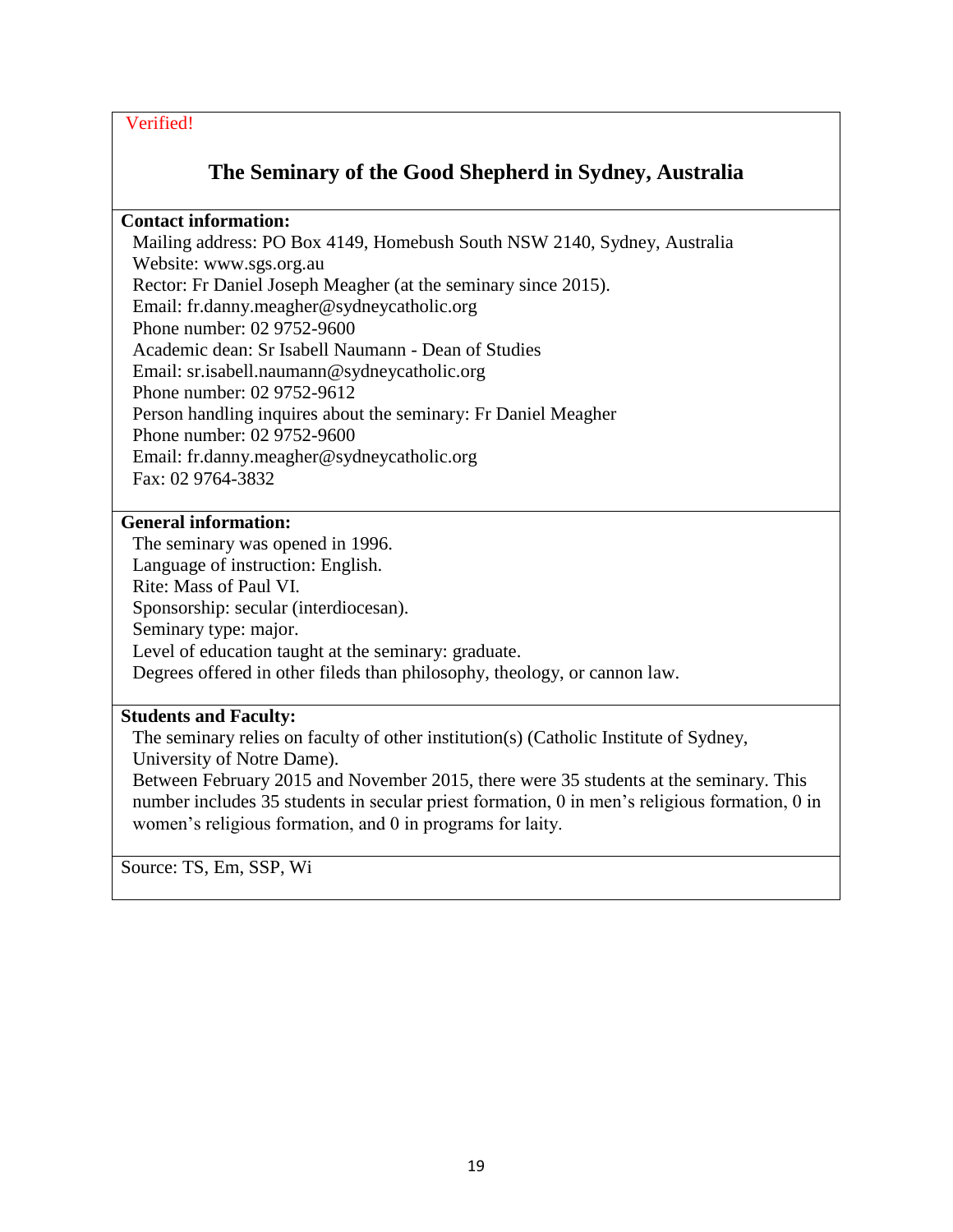# **The Seminary of the Good Shepherd in Sydney, Australia**

### **Contact information:**

Mailing address: PO Box 4149, Homebush South NSW 2140, Sydney, Australia Website: www.sgs.org.au Rector: Fr Daniel Joseph Meagher (at the seminary since 2015). Email: fr.danny.meagher@sydneycatholic.org Phone number: 02 9752-9600 Academic dean: Sr Isabell Naumann - Dean of Studies Email: sr.isabell.naumann@sydneycatholic.org Phone number: 02 9752-9612 Person handling inquires about the seminary: Fr Daniel Meagher Phone number: 02 9752-9600 Email: fr.danny.meagher@sydneycatholic.org Fax: 02 9764-3832

### **General information:**

The seminary was opened in 1996. Language of instruction: English. Rite: Mass of Paul VI. Sponsorship: secular (interdiocesan). Seminary type: major. Level of education taught at the seminary: graduate. Degrees offered in other fileds than philosophy, theology, or cannon law.

### **Students and Faculty:**

The seminary relies on faculty of other institution(s) (Catholic Institute of Sydney, University of Notre Dame).

Between February 2015 and November 2015, there were 35 students at the seminary. This number includes 35 students in secular priest formation, 0 in men's religious formation, 0 in women's religious formation, and 0 in programs for laity.

Source: TS, Em, SSP, Wi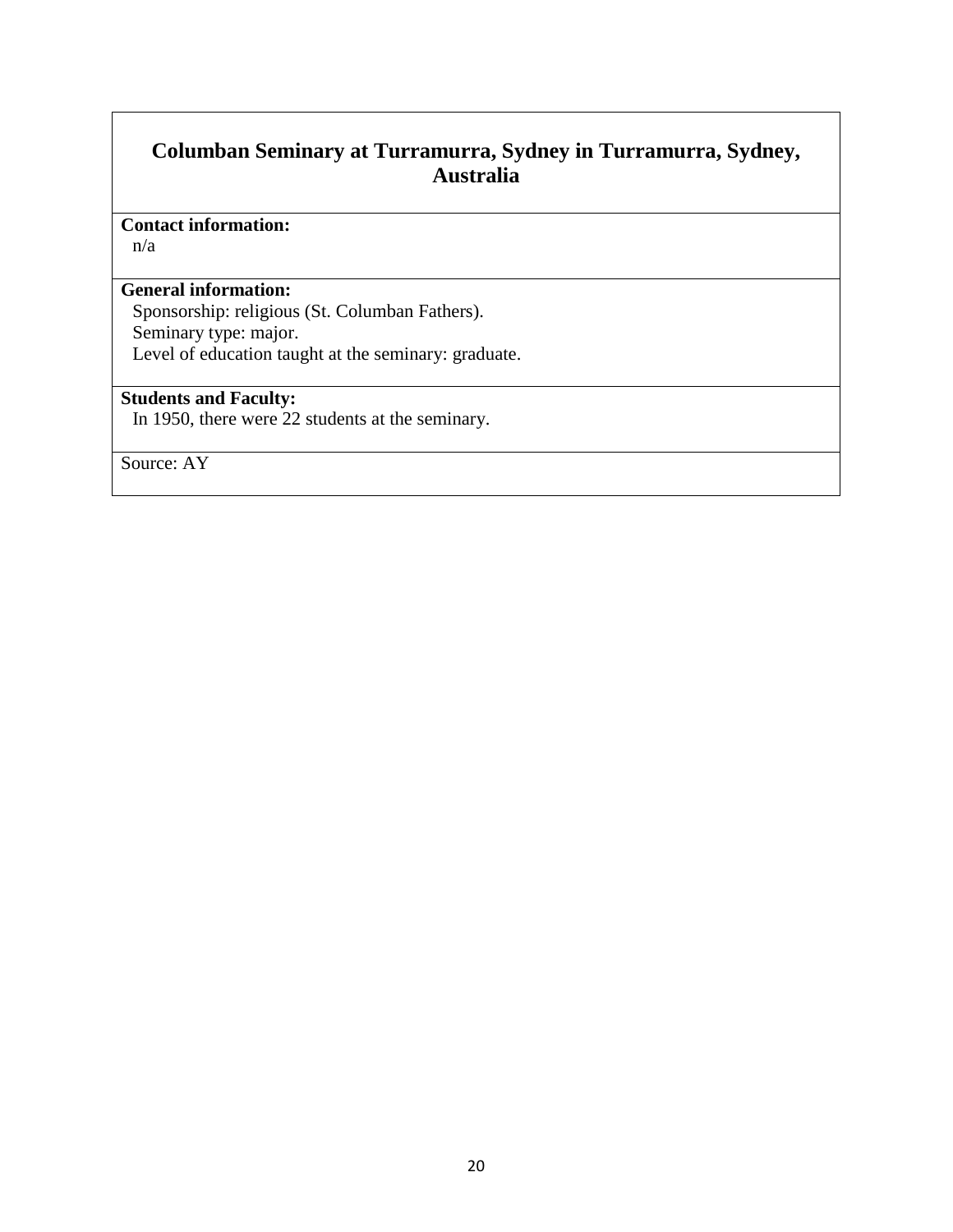# **Columban Seminary at Turramurra, Sydney in Turramurra, Sydney, Australia**

#### **Contact information:**

n/a

### **General information:**

Sponsorship: religious (St. Columban Fathers). Seminary type: major.

Level of education taught at the seminary: graduate.

# **Students and Faculty:**

In 1950, there were 22 students at the seminary.

Source: AY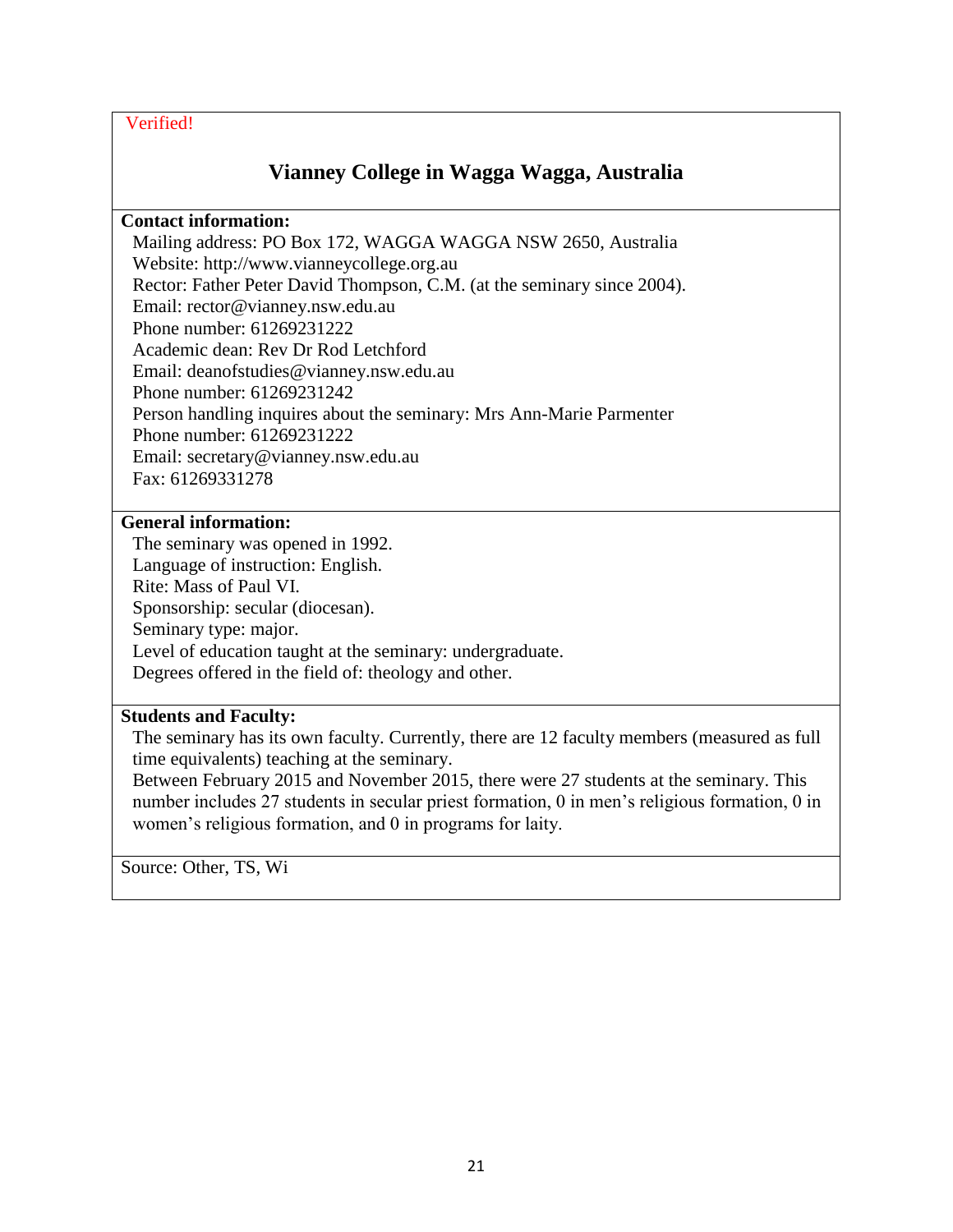# **Vianney College in Wagga Wagga, Australia**

#### **Contact information:**

Mailing address: PO Box 172, WAGGA WAGGA NSW 2650, Australia Website: http://www.vianneycollege.org.au Rector: Father Peter David Thompson, C.M. (at the seminary since 2004). Email: rector@vianney.nsw.edu.au Phone number: 61269231222 Academic dean: Rev Dr Rod Letchford Email: deanofstudies@vianney.nsw.edu.au Phone number: 61269231242 Person handling inquires about the seminary: Mrs Ann-Marie Parmenter Phone number: 61269231222 Email: secretary@vianney.nsw.edu.au Fax: 61269331278

### **General information:**

The seminary was opened in 1992. Language of instruction: English. Rite: Mass of Paul VI. Sponsorship: secular (diocesan). Seminary type: major. Level of education taught at the seminary: undergraduate. Degrees offered in the field of: theology and other.

### **Students and Faculty:**

The seminary has its own faculty. Currently, there are 12 faculty members (measured as full time equivalents) teaching at the seminary.

Between February 2015 and November 2015, there were 27 students at the seminary. This number includes 27 students in secular priest formation, 0 in men's religious formation, 0 in women's religious formation, and 0 in programs for laity.

Source: Other, TS, Wi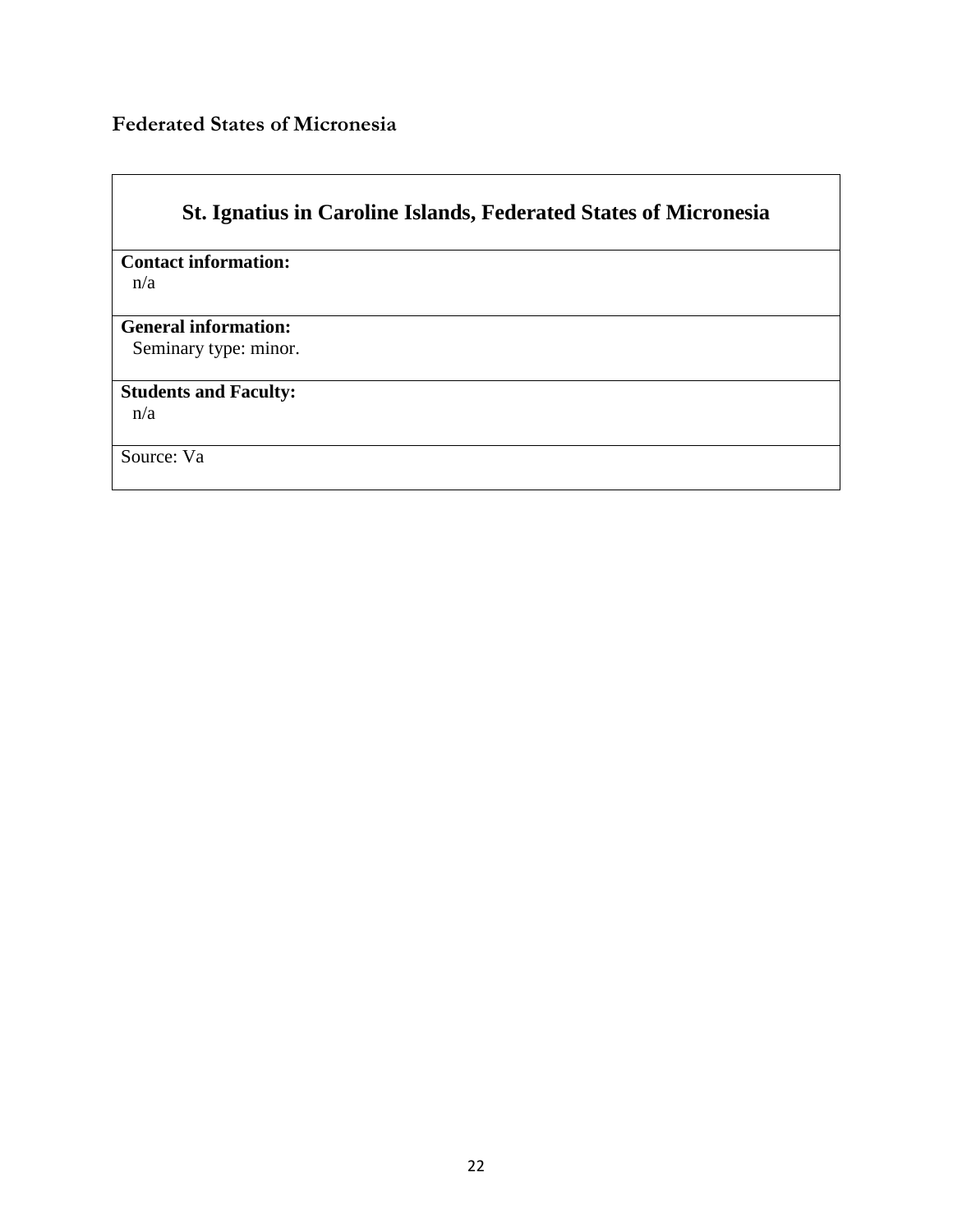# <span id="page-21-0"></span>**Federated States of Micronesia**

| <b>St. Ignatius in Caroline Islands, Federated States of Micronesia</b> |  |  |  |  |  |  |
|-------------------------------------------------------------------------|--|--|--|--|--|--|
| <b>Contact information:</b>                                             |  |  |  |  |  |  |
| n/a                                                                     |  |  |  |  |  |  |
| <b>General information:</b><br>Seminary type: minor.                    |  |  |  |  |  |  |
| <b>Students and Faculty:</b><br>n/a                                     |  |  |  |  |  |  |
|                                                                         |  |  |  |  |  |  |
| Source: Va                                                              |  |  |  |  |  |  |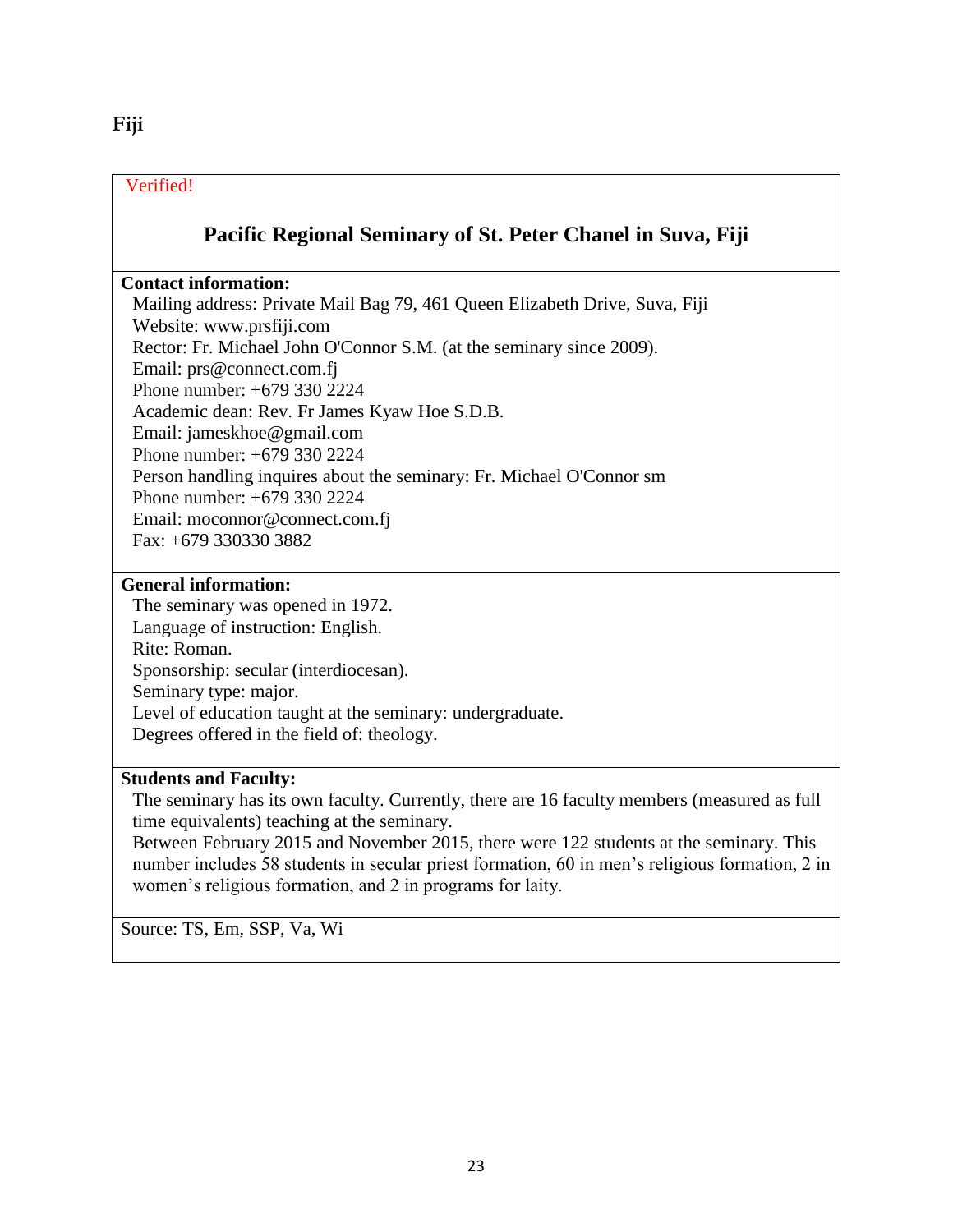# <span id="page-22-0"></span>**Fiji**

### Verified!

# **Pacific Regional Seminary of St. Peter Chanel in Suva, Fiji**

### **Contact information:**

Mailing address: Private Mail Bag 79, 461 Queen Elizabeth Drive, Suva, Fiji Website: www.prsfiji.com Rector: Fr. Michael John O'Connor S.M. (at the seminary since 2009). Email: prs@connect.com.fj Phone number: +679 330 2224 Academic dean: Rev. Fr James Kyaw Hoe S.D.B. Email: jameskhoe@gmail.com Phone number: +679 330 2224 Person handling inquires about the seminary: Fr. Michael O'Connor sm Phone number: +679 330 2224 Email: moconnor@connect.com.fj Fax: +679 330330 3882

### **General information:**

The seminary was opened in 1972. Language of instruction: English. Rite: Roman. Sponsorship: secular (interdiocesan). Seminary type: major. Level of education taught at the seminary: undergraduate. Degrees offered in the field of: theology.

### **Students and Faculty:**

The seminary has its own faculty. Currently, there are 16 faculty members (measured as full time equivalents) teaching at the seminary.

Between February 2015 and November 2015, there were 122 students at the seminary. This number includes 58 students in secular priest formation, 60 in men's religious formation, 2 in women's religious formation, and 2 in programs for laity.

Source: TS, Em, SSP, Va, Wi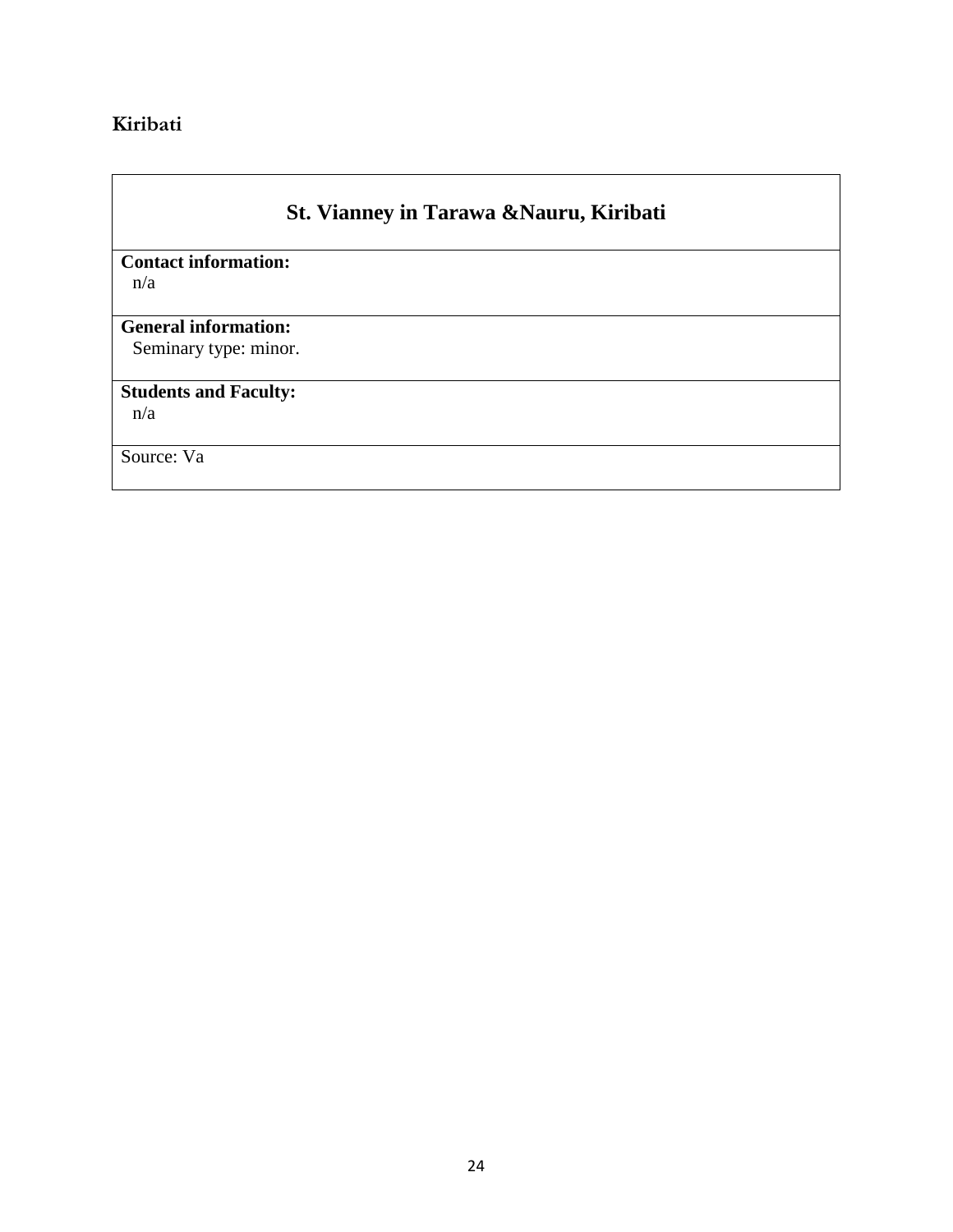# <span id="page-23-0"></span>**Kiribati**

# **St. Vianney in Tarawa &Nauru, Kiribati**

**Contact information:**  n/a

### **General information:**

Seminary type: minor.

# **Students and Faculty:**

n/a

Source: Va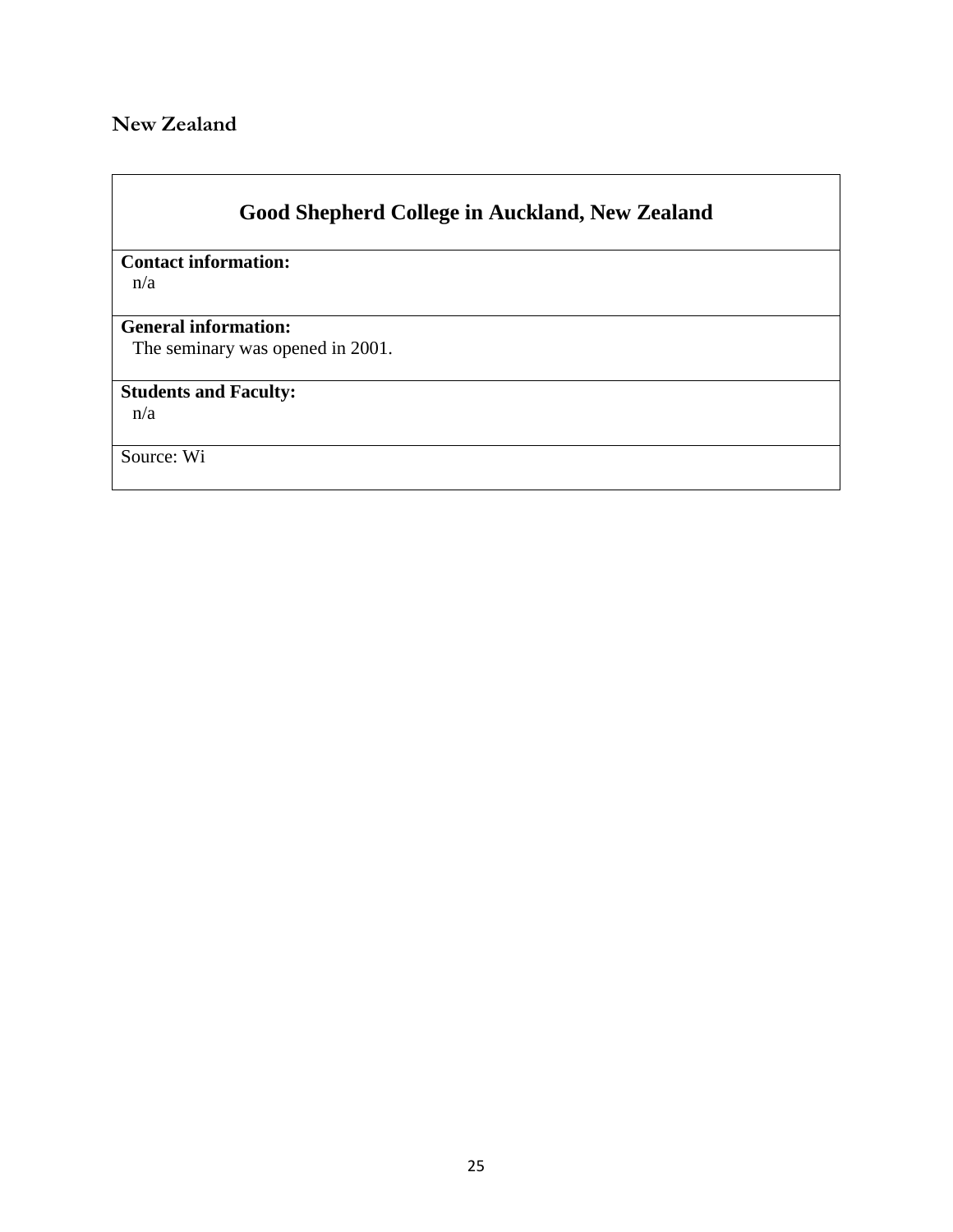# <span id="page-24-0"></span>**New Zealand**

# **Good Shepherd College in Auckland, New Zealand**

# **Contact information:**

n/a

### **General information:**

The seminary was opened in 2001.

# **Students and Faculty:**

n/a

Source: Wi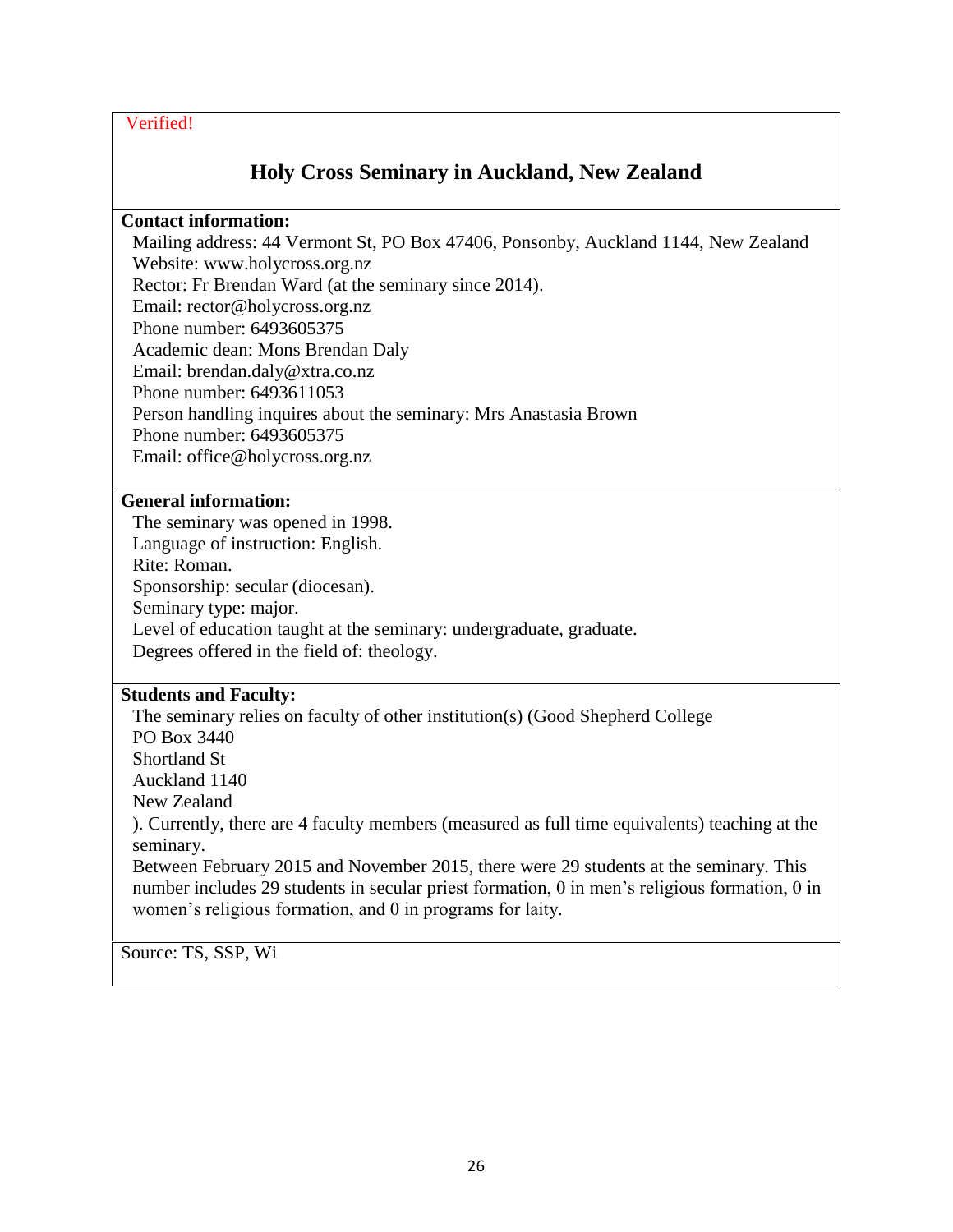# **Holy Cross Seminary in Auckland, New Zealand**

#### **Contact information:**

Mailing address: 44 Vermont St, PO Box 47406, Ponsonby, Auckland 1144, New Zealand Website: www.holycross.org.nz Rector: Fr Brendan Ward (at the seminary since 2014). Email: rector@holycross.org.nz Phone number: 6493605375 Academic dean: Mons Brendan Daly Email: brendan.daly@xtra.co.nz Phone number: 6493611053 Person handling inquires about the seminary: Mrs Anastasia Brown Phone number: 6493605375 Email: office@holycross.org.nz

#### **General information:**

The seminary was opened in 1998. Language of instruction: English. Rite: Roman. Sponsorship: secular (diocesan). Seminary type: major. Level of education taught at the seminary: undergraduate, graduate. Degrees offered in the field of: theology.

#### **Students and Faculty:**

The seminary relies on faculty of other institution(s) (Good Shepherd College PO Box 3440 Shortland St Auckland 1140 New Zealand ). Currently, there are 4 faculty members (measured as full time equivalents) teaching at the seminary. Between February 2015 and November 2015, there were 29 students at the seminary. This number includes 29 students in secular priest formation, 0 in men's religious formation, 0 in

women's religious formation, and 0 in programs for laity.

Source: TS, SSP, Wi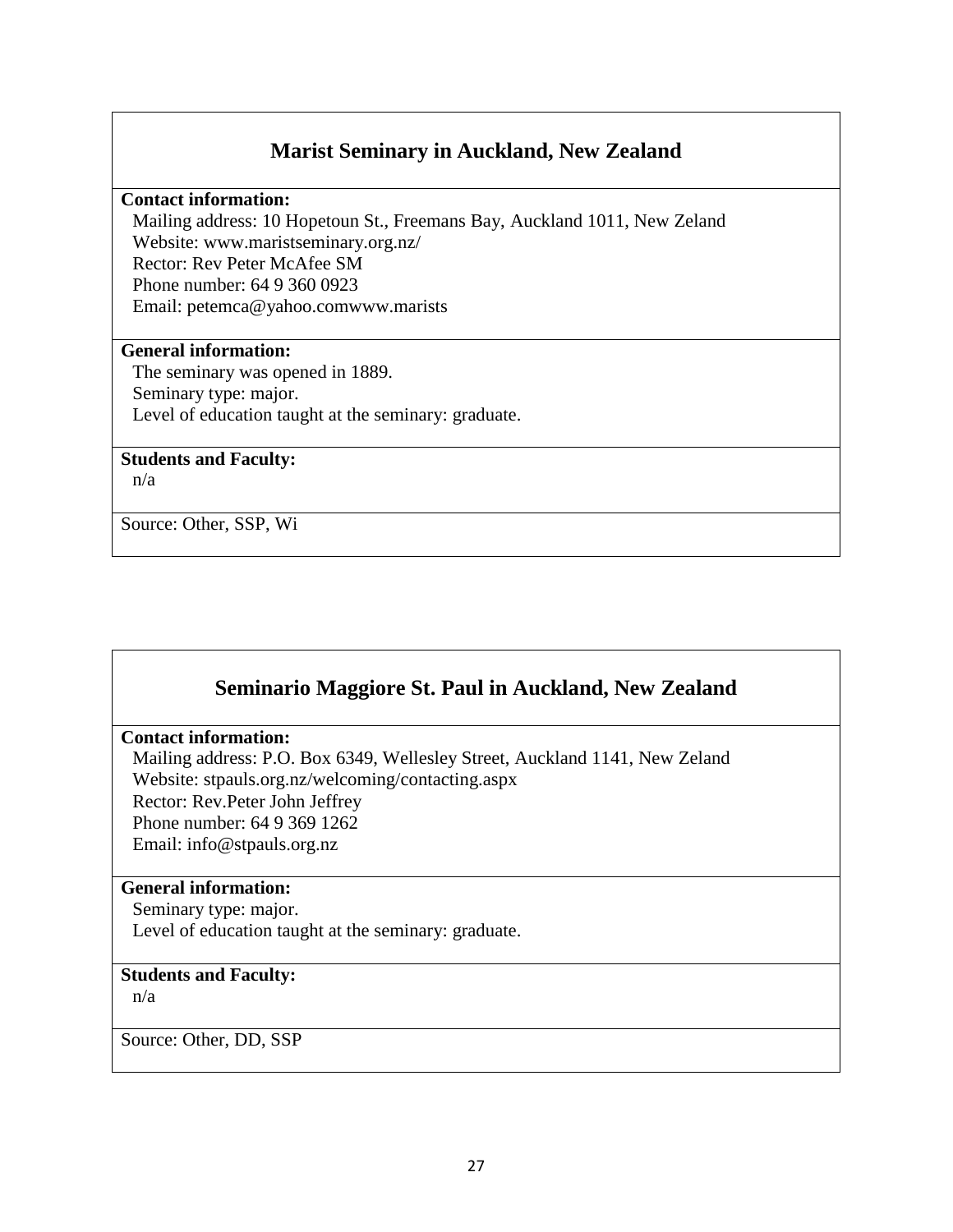## **Marist Seminary in Auckland, New Zealand**

**Contact information:** 

Mailing address: 10 Hopetoun St., Freemans Bay, Auckland 1011, New Zeland Website: www.maristseminary.org.nz/ Rector: Rev Peter McAfee SM Phone number: 64 9 360 0923 Email: petemca@yahoo.comwww.marists

#### **General information:**

The seminary was opened in 1889. Seminary type: major. Level of education taught at the seminary: graduate.

#### **Students and Faculty:**

n/a

Source: Other, SSP, Wi

# **Seminario Maggiore St. Paul in Auckland, New Zealand**

#### **Contact information:**

Mailing address: P.O. Box 6349, Wellesley Street, Auckland 1141, New Zeland Website: stpauls.org.nz/welcoming/contacting.aspx Rector: Rev.Peter John Jeffrey Phone number: 64 9 369 1262 Email: info@stpauls.org.nz

#### **General information:**

Seminary type: major. Level of education taught at the seminary: graduate.

#### **Students and Faculty:**

n/a

Source: Other, DD, SSP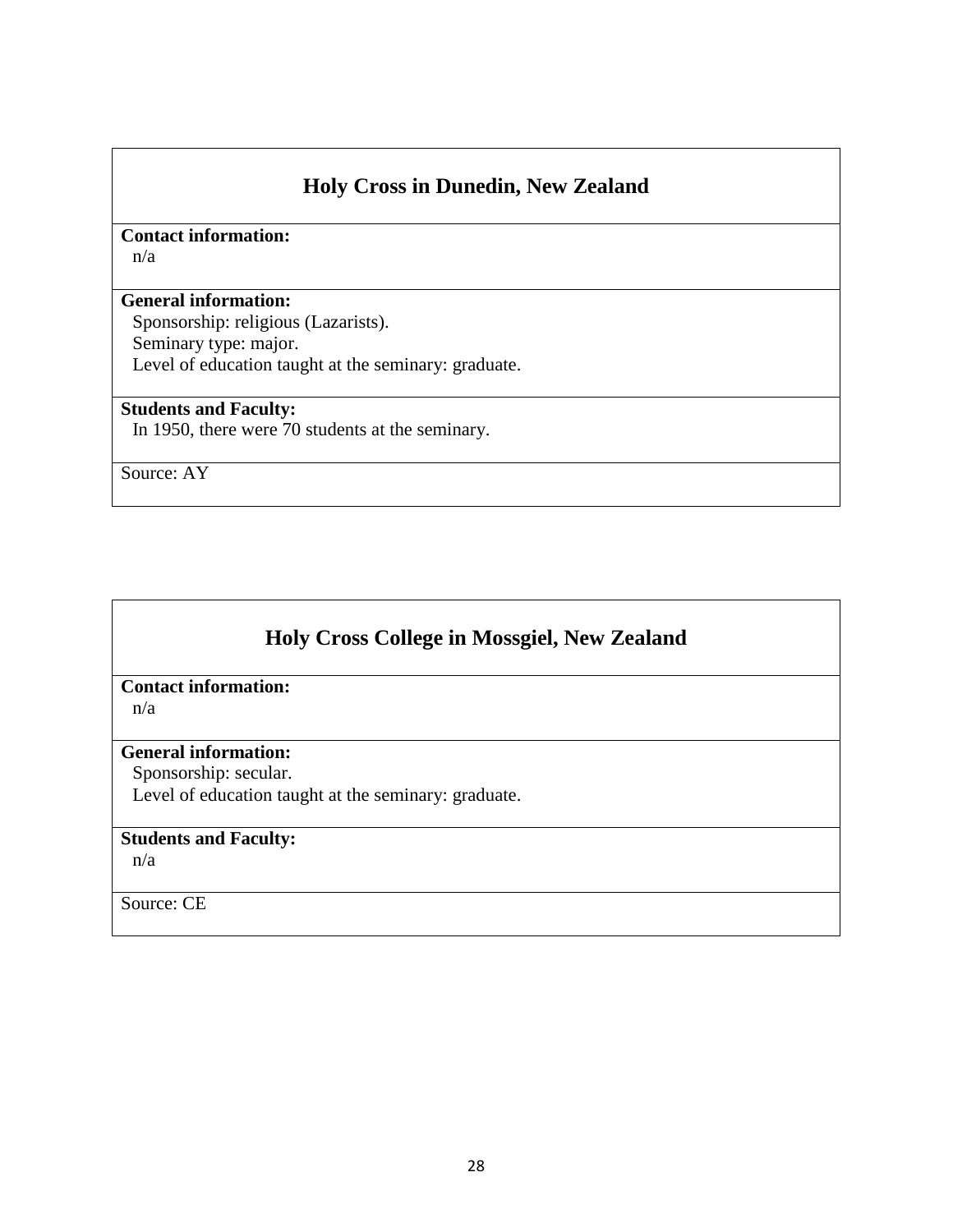# **Holy Cross in Dunedin, New Zealand**

**Contact information:**  n/a

### **General information:**

Sponsorship: religious (Lazarists). Seminary type: major. Level of education taught at the seminary: graduate.

#### **Students and Faculty:**

In 1950, there were 70 students at the seminary.

Source: AY

# **Holy Cross College in Mossgiel, New Zealand**

# **Contact information:**

n/a

### **General information:**

Sponsorship: secular.

Level of education taught at the seminary: graduate.

### **Students and Faculty:**

n/a

Source: CE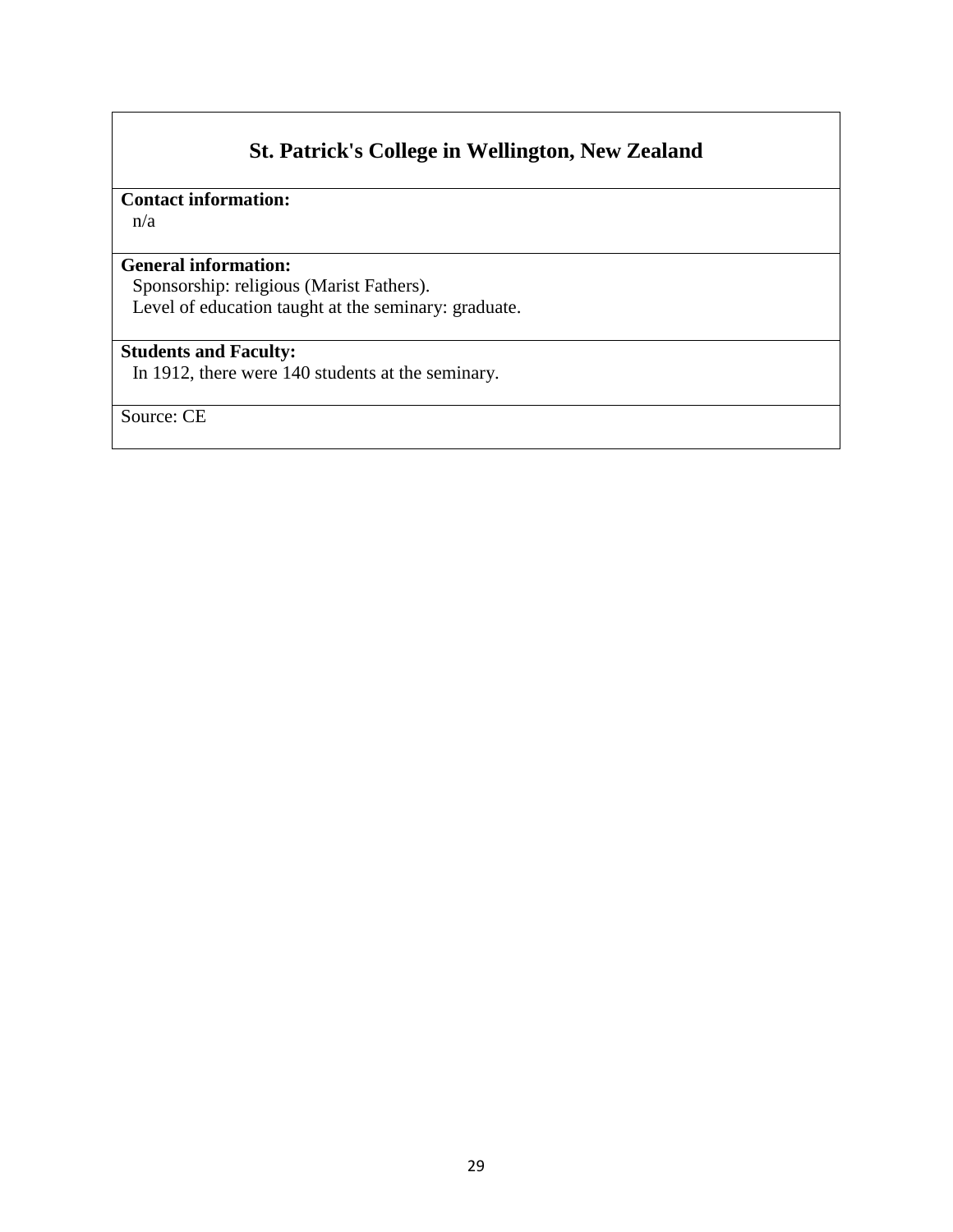# **St. Patrick's College in Wellington, New Zealand**

# **Contact information:**

n/a

### **General information:**

Sponsorship: religious (Marist Fathers). Level of education taught at the seminary: graduate.

### **Students and Faculty:**

In 1912, there were 140 students at the seminary.

Source: CE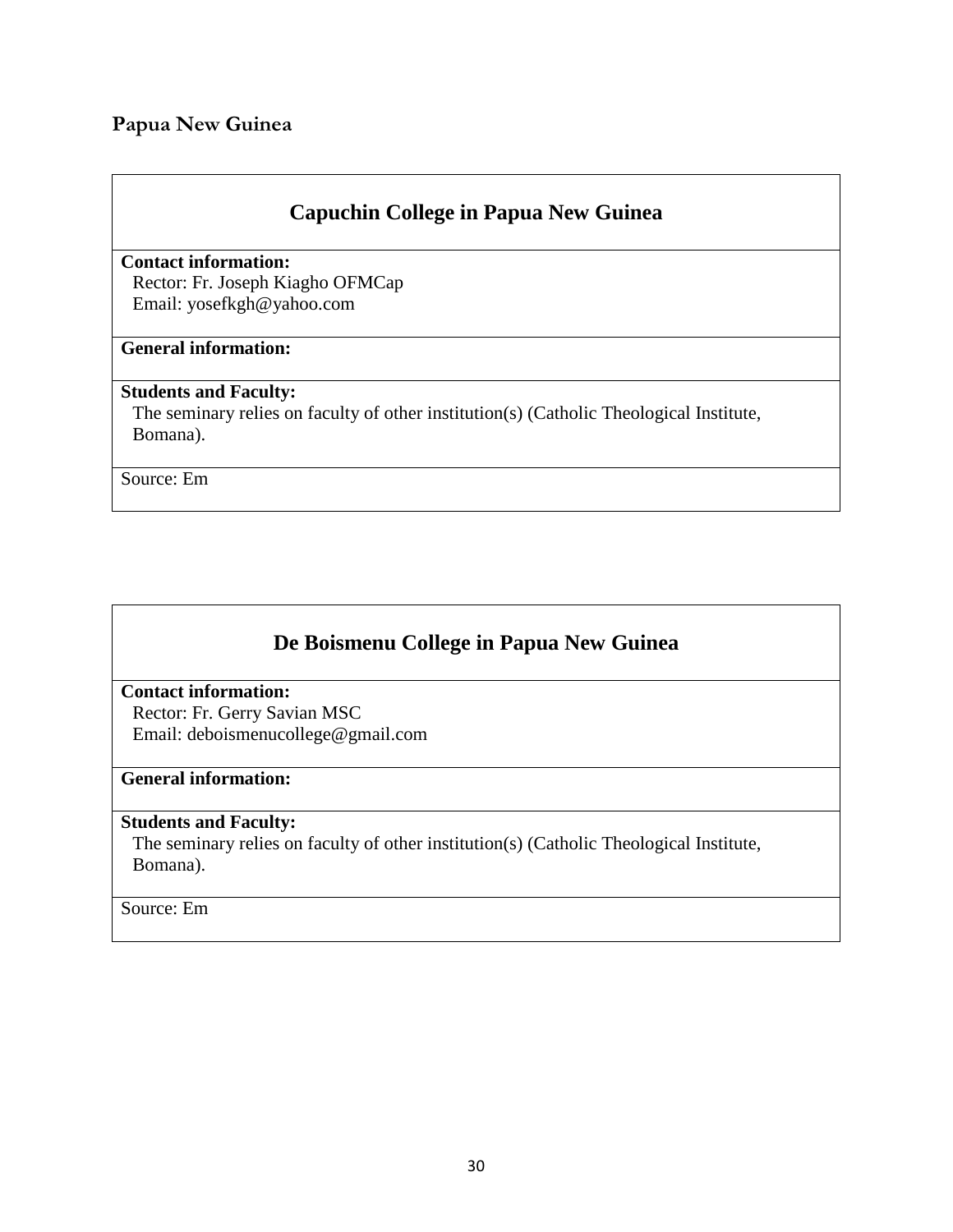### <span id="page-29-0"></span>**Papua New Guinea**

# **Capuchin College in Papua New Guinea**

**Contact information:**  Rector: Fr. Joseph Kiagho OFMCap Email: yosefkgh@yahoo.com

### **General information:**

#### **Students and Faculty:**

The seminary relies on faculty of other institution(s) (Catholic Theological Institute, Bomana).

Source: Em

# **De Boismenu College in Papua New Guinea**

**Contact information:**  Rector: Fr. Gerry Savian MSC Email: deboismenucollege@gmail.com

#### **General information:**

#### **Students and Faculty:**

The seminary relies on faculty of other institution(s) (Catholic Theological Institute, Bomana).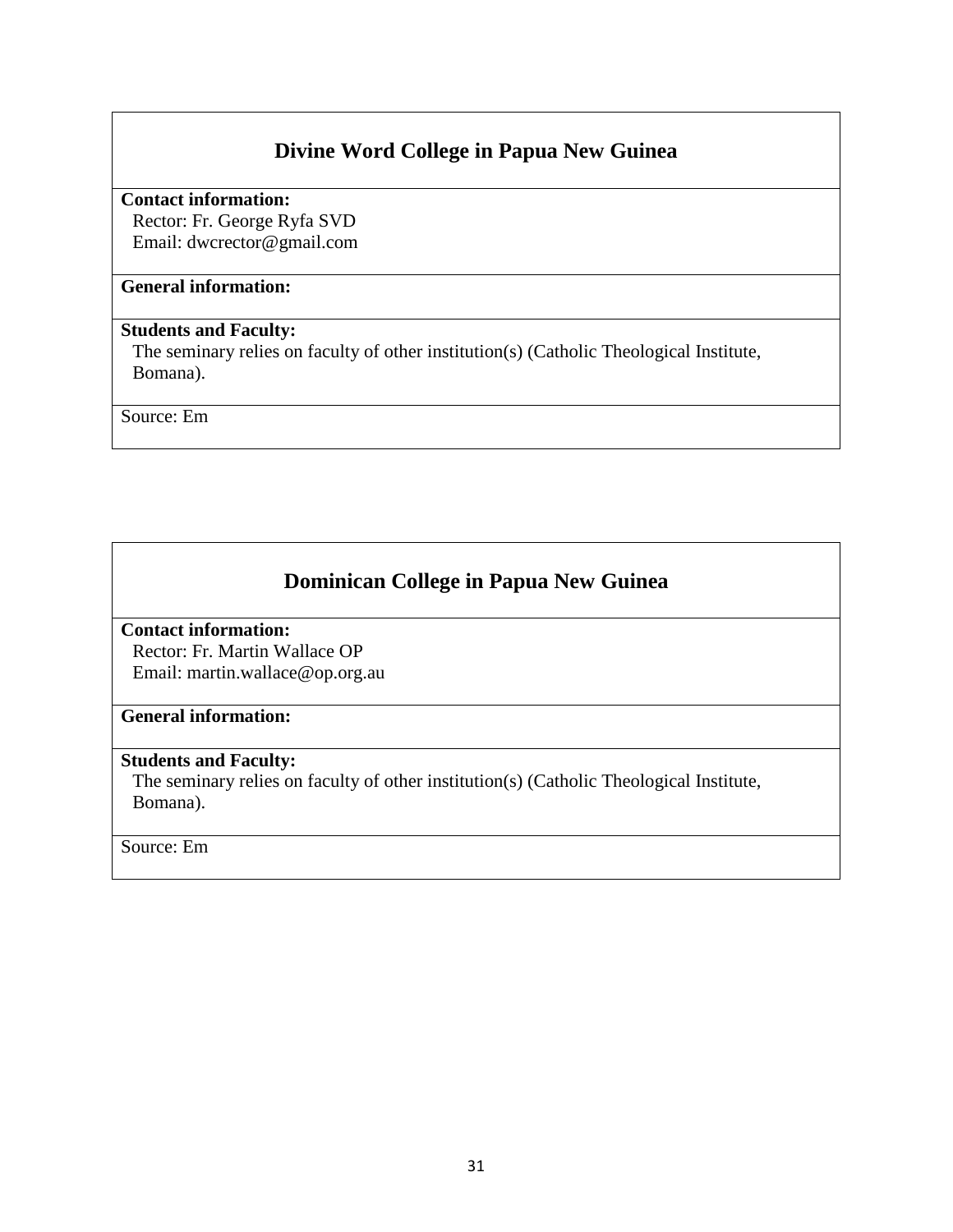# **Divine Word College in Papua New Guinea**

**Contact information:**  Rector: Fr. George Ryfa SVD

Email: dwcrector@gmail.com

### **General information:**

### **Students and Faculty:**

The seminary relies on faculty of other institution(s) (Catholic Theological Institute, Bomana).

Source: Em

# **Dominican College in Papua New Guinea**

#### **Contact information:**

Rector: Fr. Martin Wallace OP Email: martin.wallace@op.org.au

#### **General information:**

#### **Students and Faculty:**

The seminary relies on faculty of other institution(s) (Catholic Theological Institute, Bomana).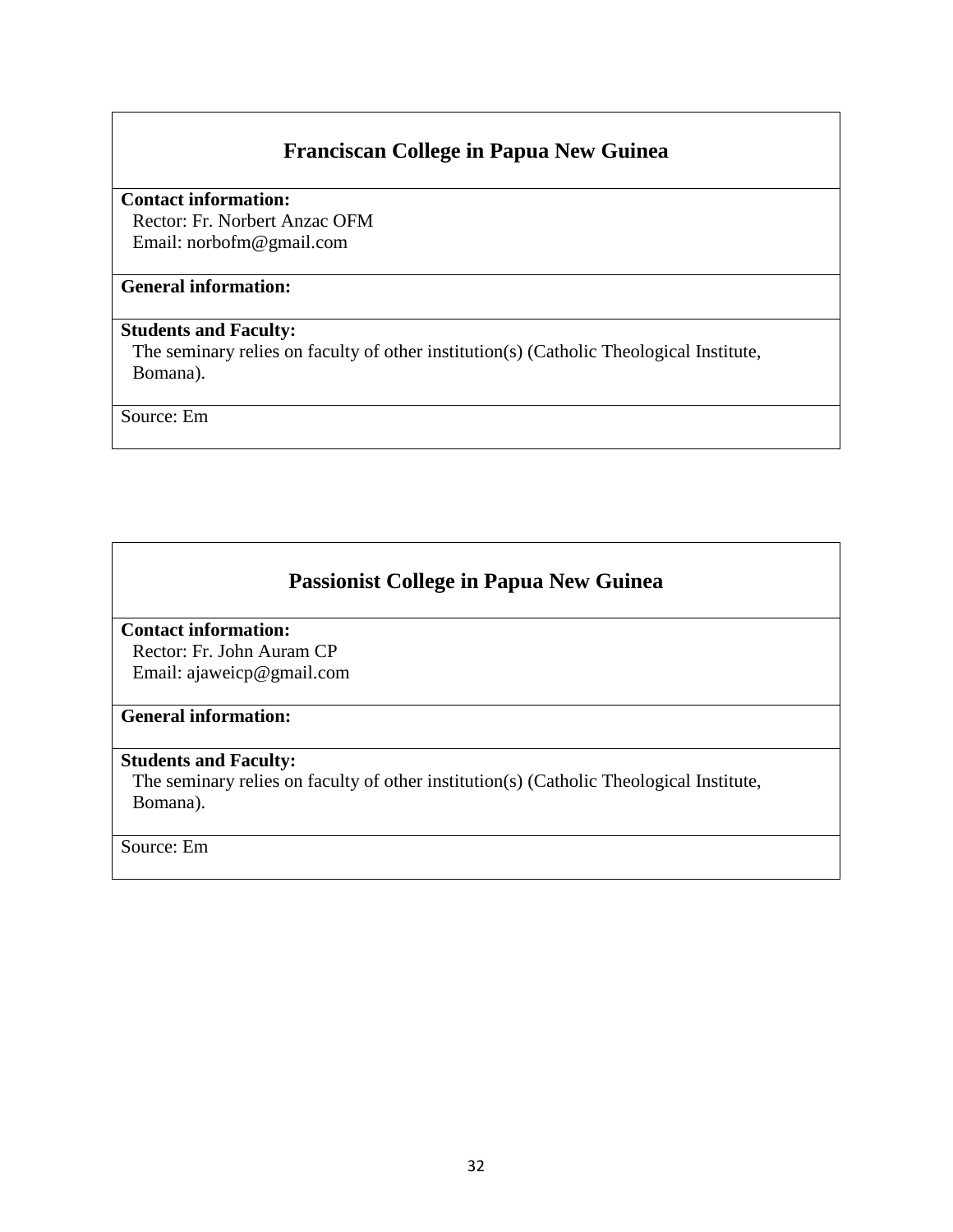# **Franciscan College in Papua New Guinea**

**Contact information:** 

Rector: Fr. Norbert Anzac OFM Email: norbofm@gmail.com

### **General information:**

### **Students and Faculty:**

The seminary relies on faculty of other institution(s) (Catholic Theological Institute, Bomana).

Source: Em

# **Passionist College in Papua New Guinea**

### **Contact information:**

Rector: Fr. John Auram CP Email: ajaweicp@gmail.com

### **General information:**

#### **Students and Faculty:**

The seminary relies on faculty of other institution(s) (Catholic Theological Institute, Bomana).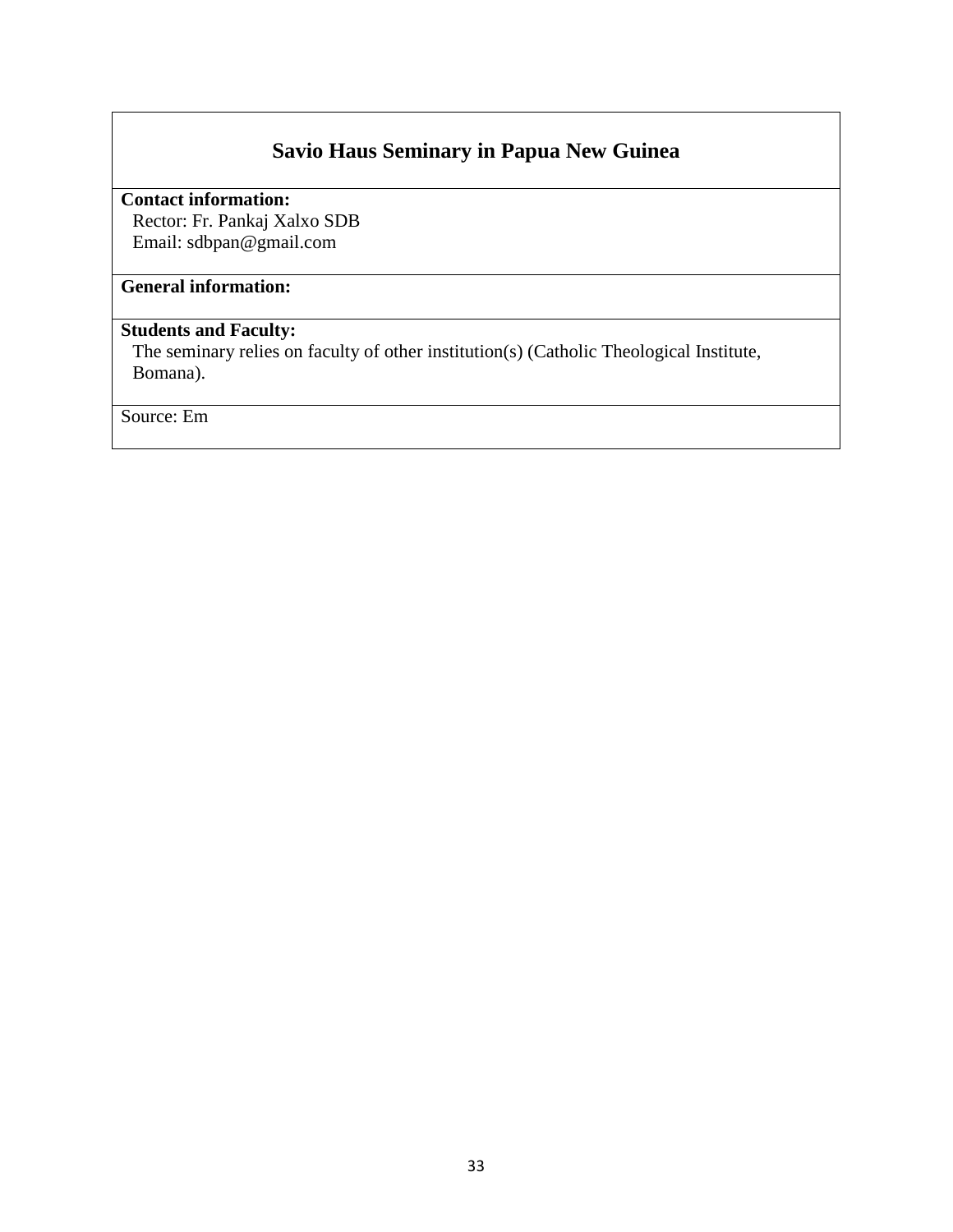# **Savio Haus Seminary in Papua New Guinea**

**Contact information:** 

Rector: Fr. Pankaj Xalxo SDB Email: sdbpan@gmail.com

# **General information:**

### **Students and Faculty:**

The seminary relies on faculty of other institution(s) (Catholic Theological Institute, Bomana).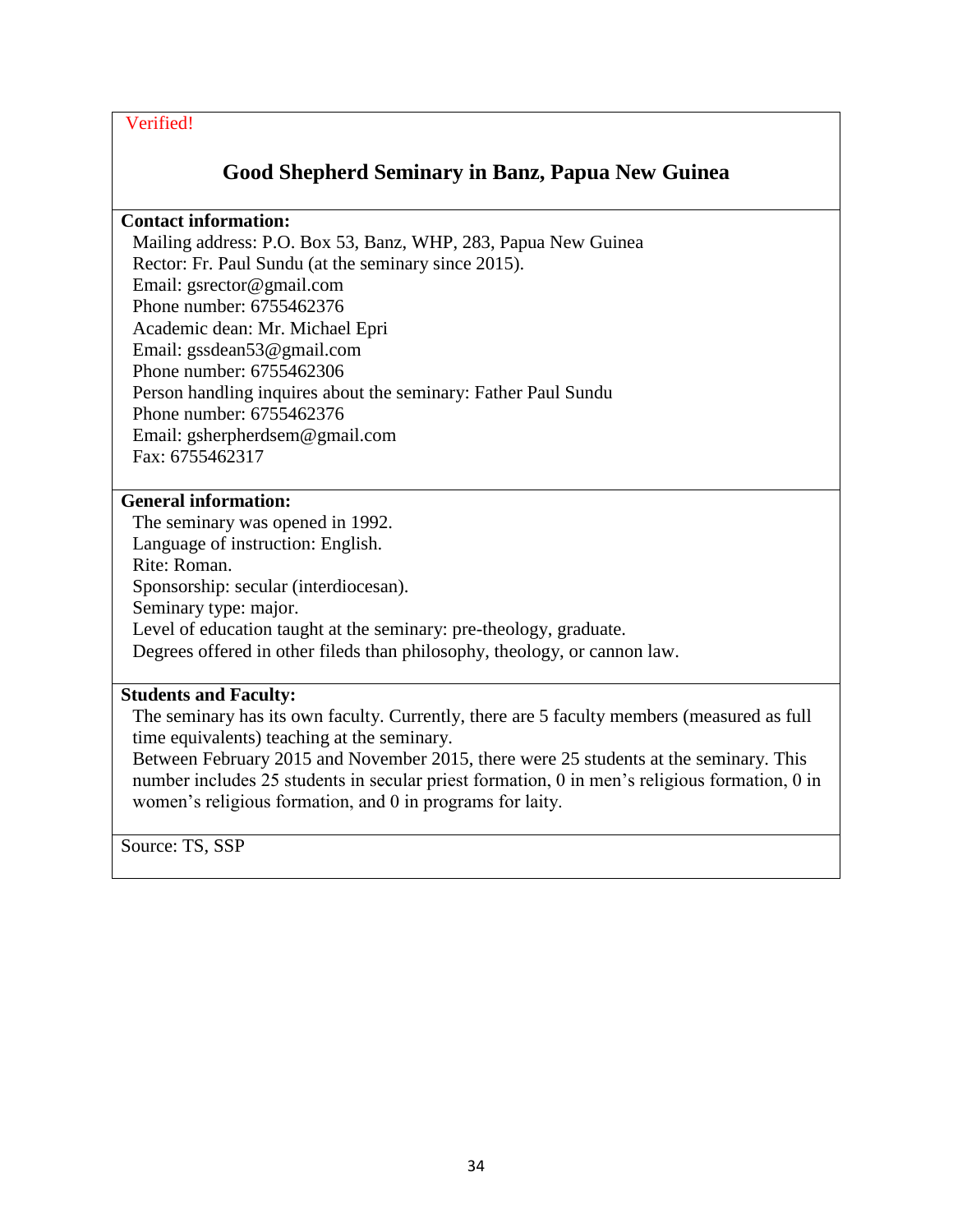# **Good Shepherd Seminary in Banz, Papua New Guinea**

### **Contact information:**

Mailing address: P.O. Box 53, Banz, WHP, 283, Papua New Guinea Rector: Fr. Paul Sundu (at the seminary since 2015). Email: gsrector@gmail.com Phone number: 6755462376 Academic dean: Mr. Michael Epri Email: gssdean53@gmail.com Phone number: 6755462306 Person handling inquires about the seminary: Father Paul Sundu Phone number: 6755462376 Email: gsherpherdsem@gmail.com Fax: 6755462317

### **General information:**

The seminary was opened in 1992. Language of instruction: English. Rite: Roman. Sponsorship: secular (interdiocesan). Seminary type: major. Level of education taught at the seminary: pre-theology, graduate. Degrees offered in other fileds than philosophy, theology, or cannon law.

### **Students and Faculty:**

The seminary has its own faculty. Currently, there are 5 faculty members (measured as full time equivalents) teaching at the seminary.

Between February 2015 and November 2015, there were 25 students at the seminary. This number includes 25 students in secular priest formation, 0 in men's religious formation, 0 in women's religious formation, and 0 in programs for laity.

Source: TS, SSP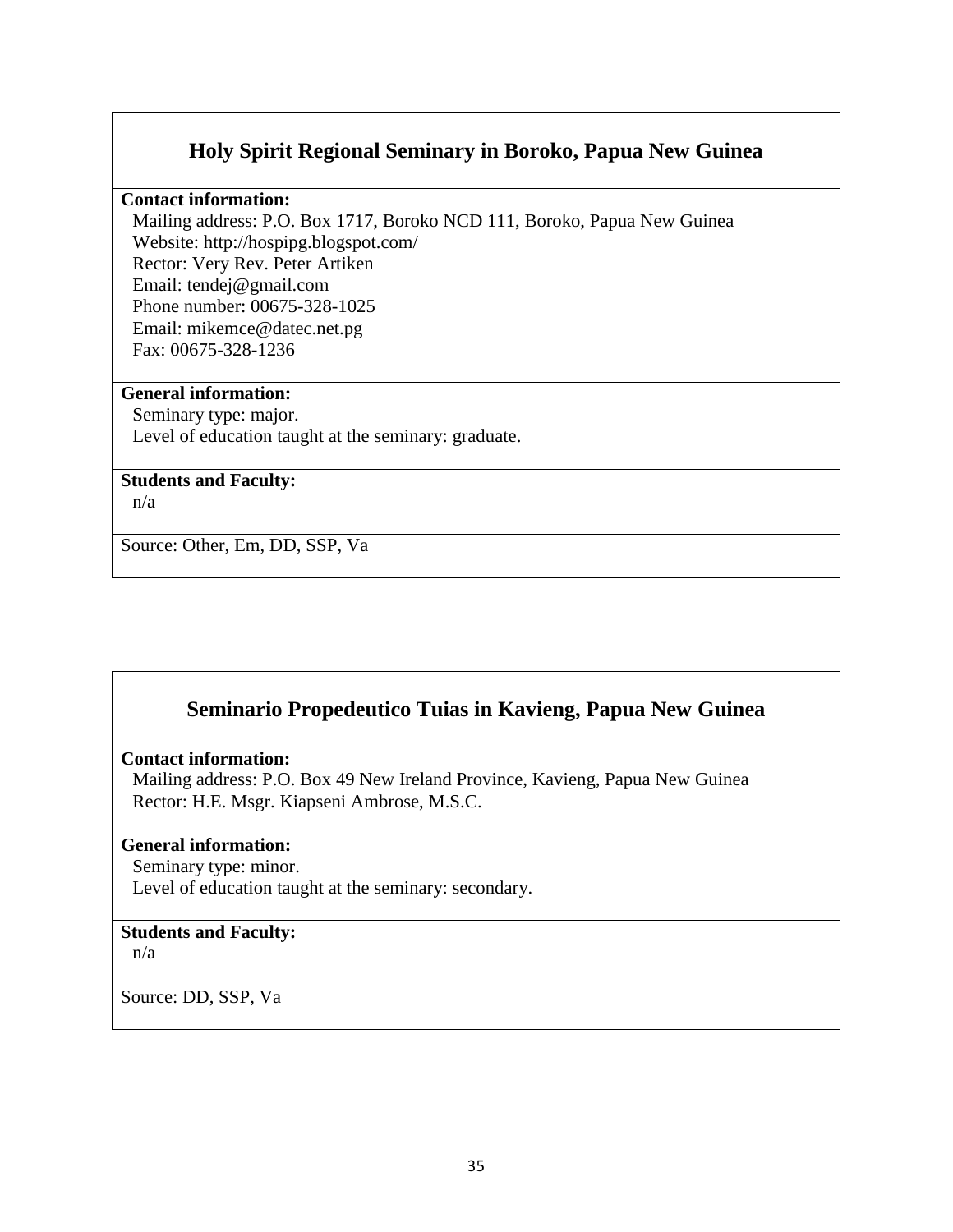### **Holy Spirit Regional Seminary in Boroko, Papua New Guinea**

#### **Contact information:**

Mailing address: P.O. Box 1717, Boroko NCD 111, Boroko, Papua New Guinea Website: http://hospipg.blogspot.com/ Rector: Very Rev. Peter Artiken Email: tendej@gmail.com Phone number: 00675-328-1025 Email: mikemce@datec.net.pg Fax: 00675-328-1236

#### **General information:**

Seminary type: major. Level of education taught at the seminary: graduate.

#### **Students and Faculty:**

n/a

Source: Other, Em, DD, SSP, Va

# **Seminario Propedeutico Tuias in Kavieng, Papua New Guinea**

#### **Contact information:**

Mailing address: P.O. Box 49 New Ireland Province, Kavieng, Papua New Guinea Rector: H.E. Msgr. Kiapseni Ambrose, M.S.C.

#### **General information:**

Seminary type: minor. Level of education taught at the seminary: secondary.

#### **Students and Faculty:**

n/a

Source: DD, SSP, Va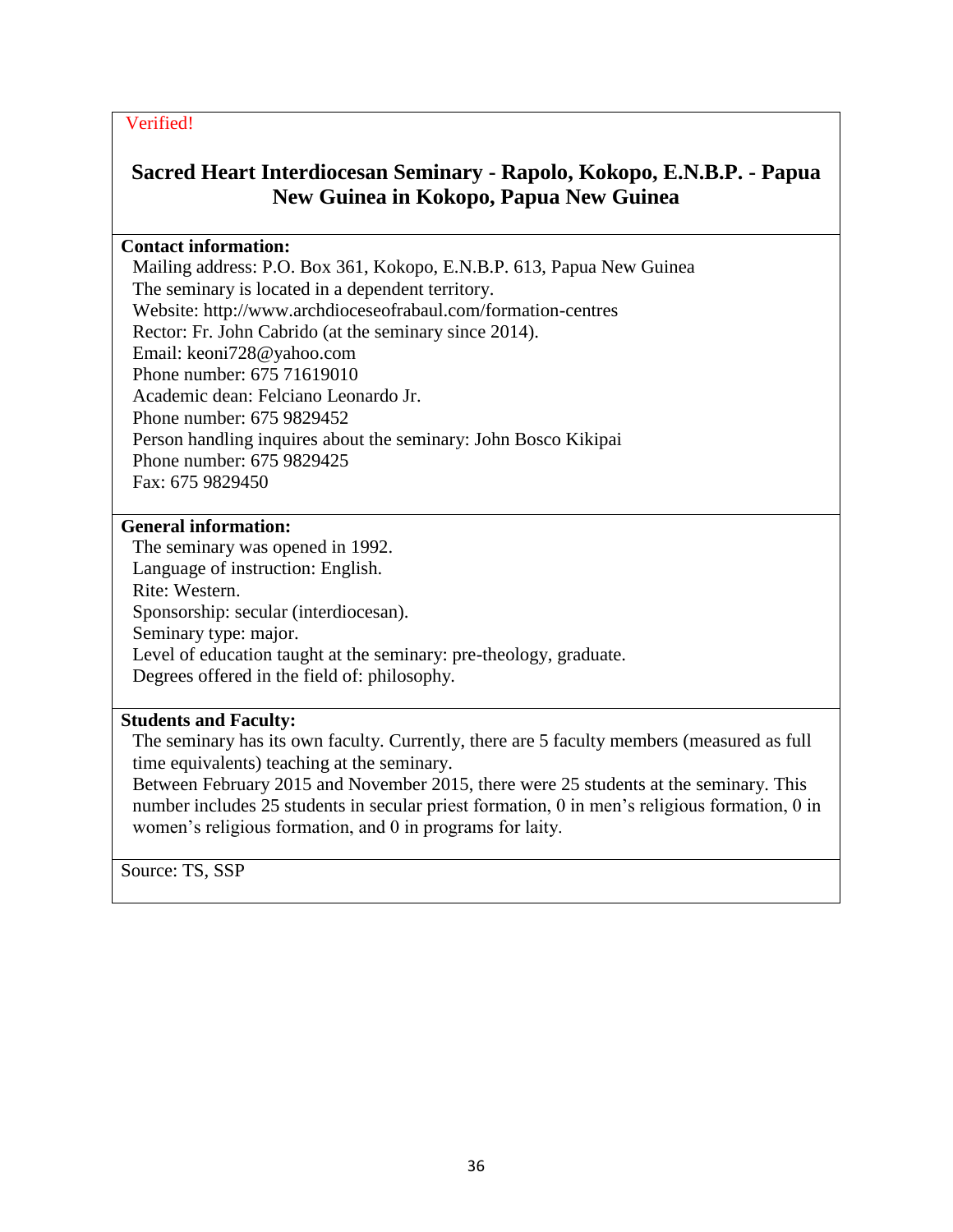# **Sacred Heart Interdiocesan Seminary - Rapolo, Kokopo, E.N.B.P. - Papua New Guinea in Kokopo, Papua New Guinea**

#### **Contact information:**

Mailing address: P.O. Box 361, Kokopo, E.N.B.P. 613, Papua New Guinea The seminary is located in a dependent territory. Website: http://www.archdioceseofrabaul.com/formation-centres Rector: Fr. John Cabrido (at the seminary since 2014). Email: keoni728@yahoo.com Phone number: 675 71619010 Academic dean: Felciano Leonardo Jr. Phone number: 675 9829452 Person handling inquires about the seminary: John Bosco Kikipai Phone number: 675 9829425 Fax: 675 9829450

### **General information:**

The seminary was opened in 1992. Language of instruction: English. Rite: Western. Sponsorship: secular (interdiocesan). Seminary type: major. Level of education taught at the seminary: pre-theology, graduate. Degrees offered in the field of: philosophy.

#### **Students and Faculty:**

The seminary has its own faculty. Currently, there are 5 faculty members (measured as full time equivalents) teaching at the seminary.

Between February 2015 and November 2015, there were 25 students at the seminary. This number includes 25 students in secular priest formation, 0 in men's religious formation, 0 in women's religious formation, and 0 in programs for laity.

Source: TS, SSP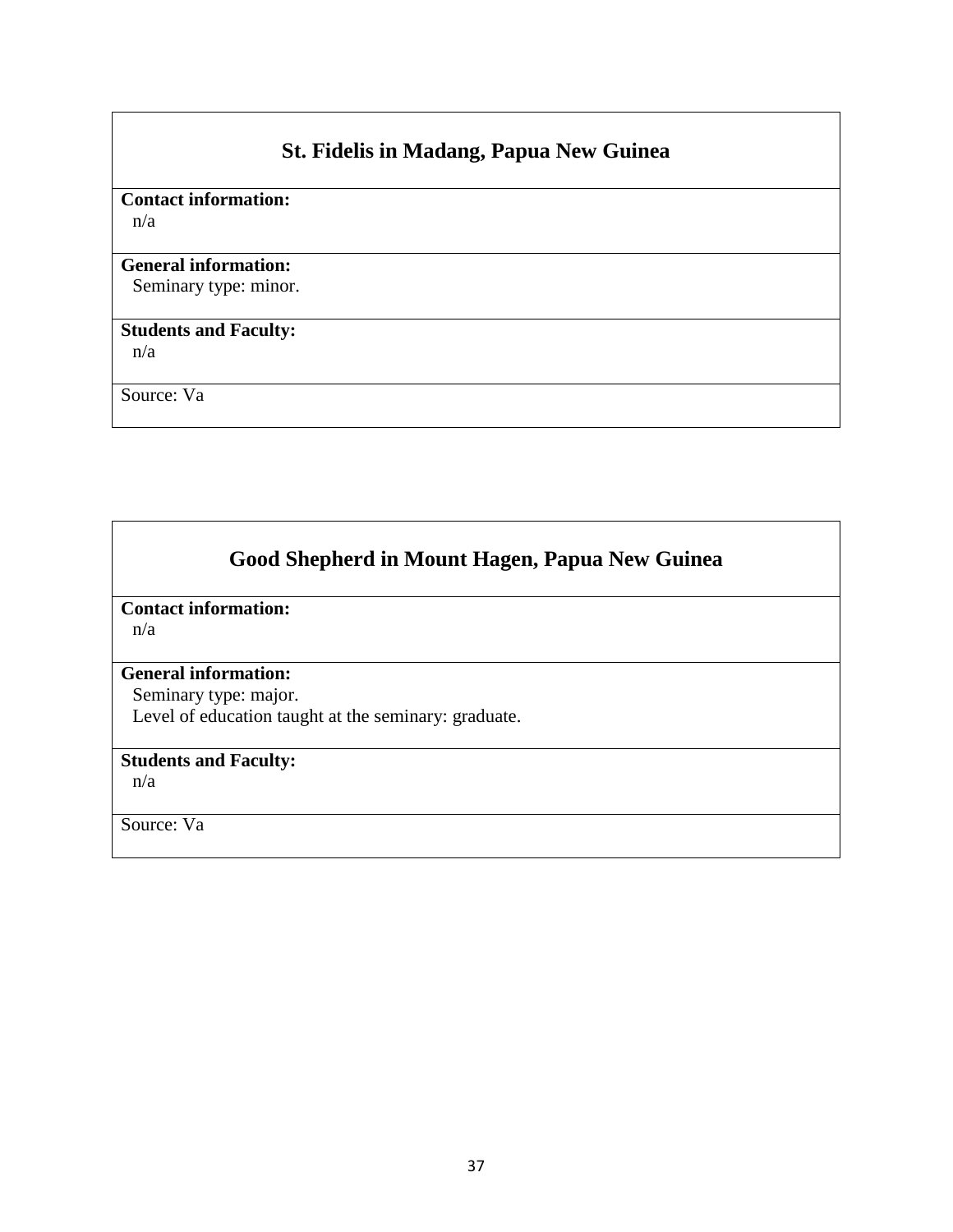# **St. Fidelis in Madang, Papua New Guinea**

# **Contact information:**

n/a

### **General information:**

Seminary type: minor.

# **Students and Faculty:**

n/a

Source: Va

# **Good Shepherd in Mount Hagen, Papua New Guinea**

**Contact information:** 

n/a

# **General information:**

Seminary type: major. Level of education taught at the seminary: graduate.

### **Students and Faculty:**

n/a

Source: Va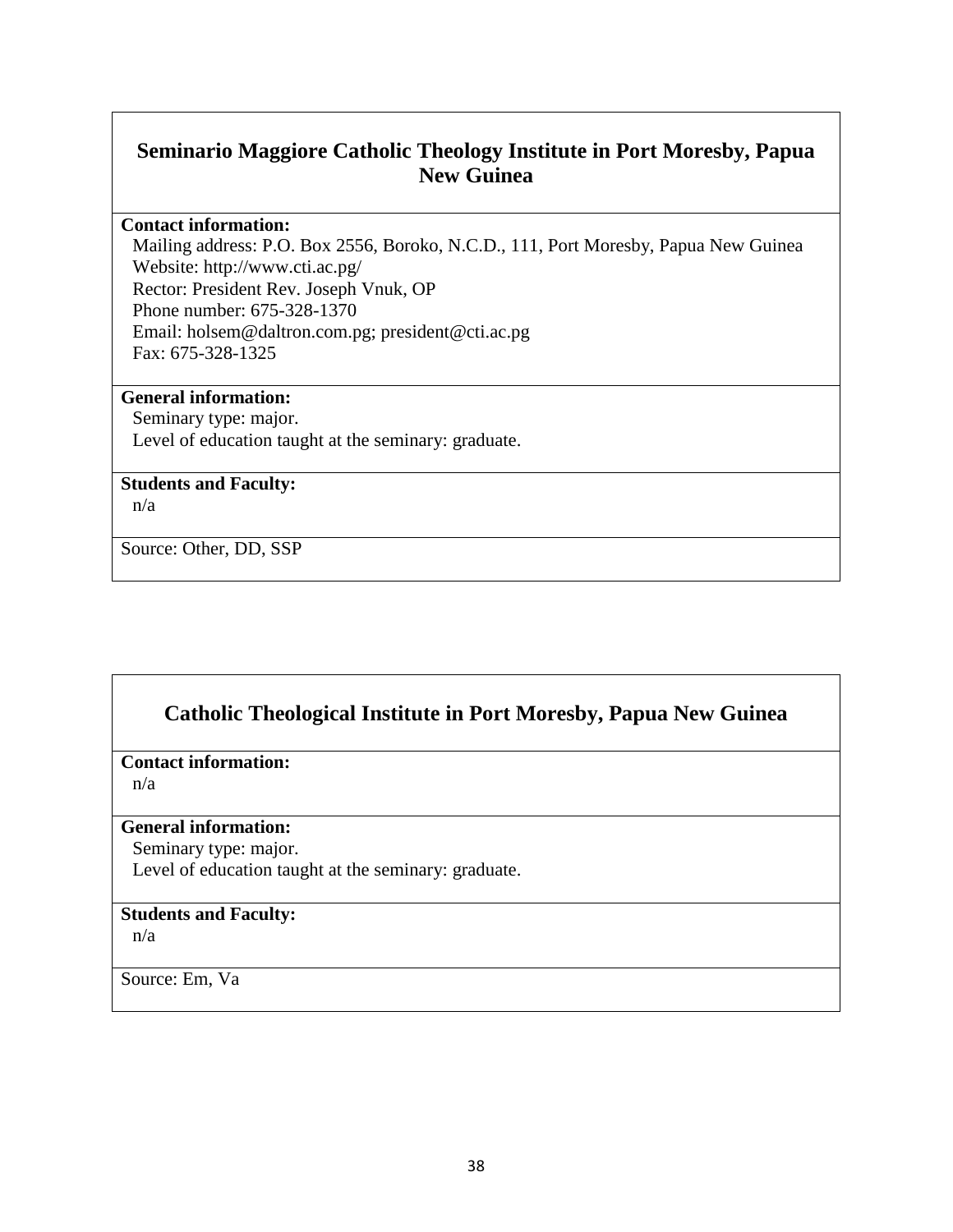# **Seminario Maggiore Catholic Theology Institute in Port Moresby, Papua New Guinea**

#### **Contact information:**

Mailing address: P.O. Box 2556, Boroko, N.C.D., 111, Port Moresby, Papua New Guinea Website: http://www.cti.ac.pg/ Rector: President Rev. Joseph Vnuk, OP Phone number: 675-328-1370 Email: holsem@daltron.com.pg; president@cti.ac.pg Fax: 675-328-1325

#### **General information:**

Seminary type: major. Level of education taught at the seminary: graduate.

#### **Students and Faculty:**

n/a

Source: Other, DD, SSP

# **Catholic Theological Institute in Port Moresby, Papua New Guinea**

#### **Contact information:**

n/a

#### **General information:**

Seminary type: major.

Level of education taught at the seminary: graduate.

### **Students and Faculty:**

n/a

Source: Em, Va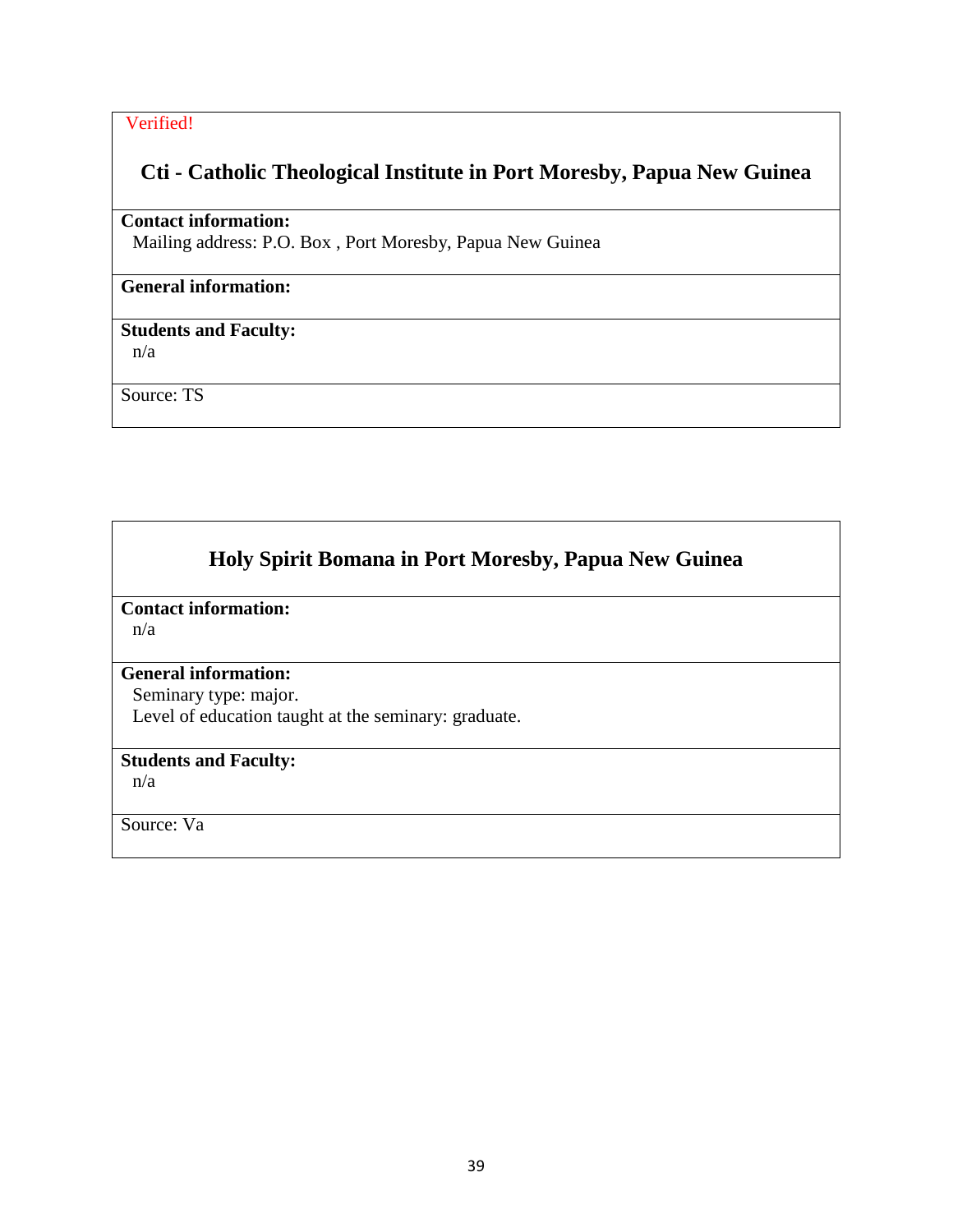# **Cti - Catholic Theological Institute in Port Moresby, Papua New Guinea**

### **Contact information:**

Mailing address: P.O. Box , Port Moresby, Papua New Guinea

### **General information:**

## **Students and Faculty:**

n/a

Source: TS

# **Holy Spirit Bomana in Port Moresby, Papua New Guinea**

**Contact information:** 

n/a

#### **General information:**

Seminary type: major. Level of education taught at the seminary: graduate.

### **Students and Faculty:**

n/a

Source: Va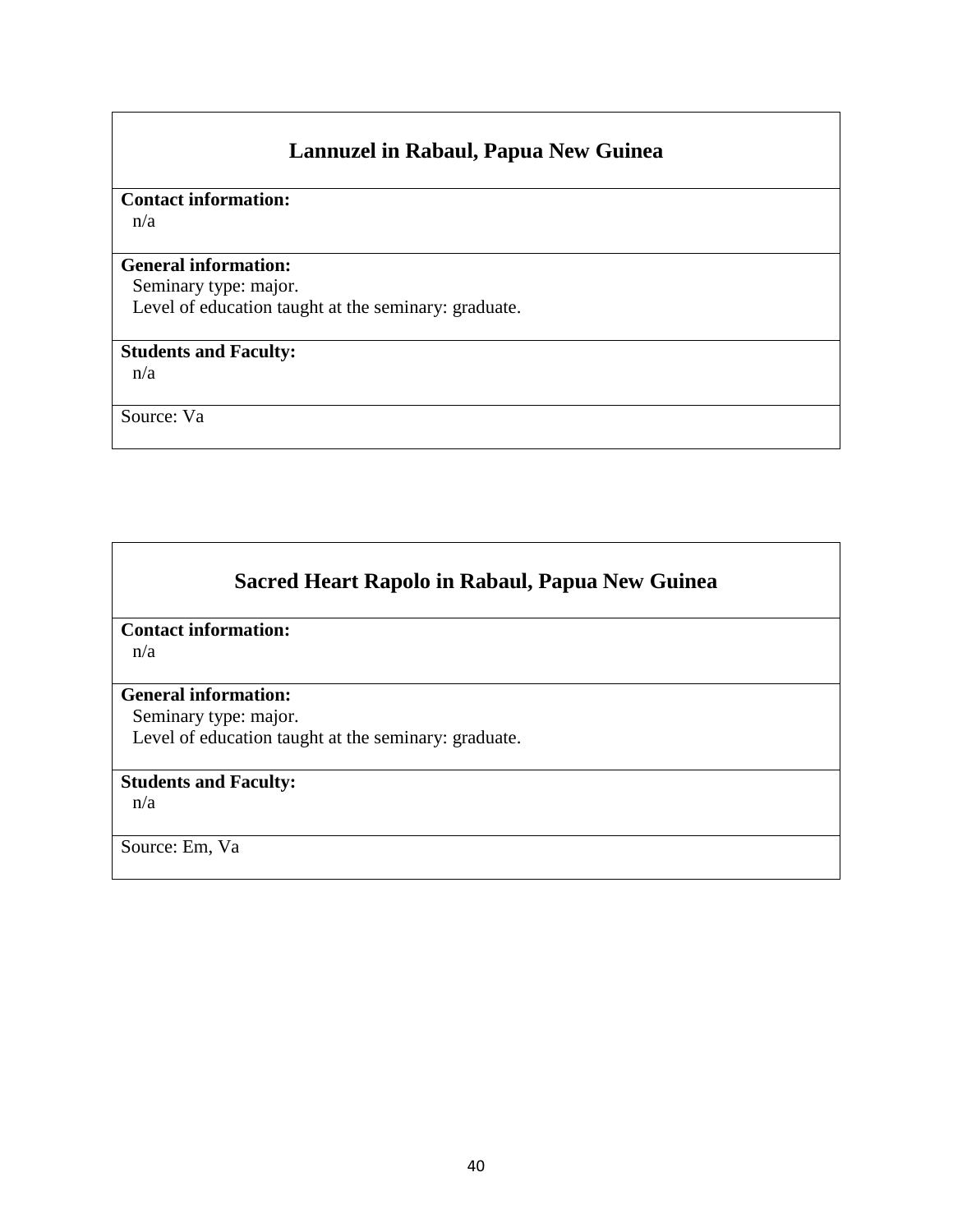# **Lannuzel in Rabaul, Papua New Guinea**

### **Contact information:**

n/a

#### **General information:**

Seminary type: major. Level of education taught at the seminary: graduate.

### **Students and Faculty:**

n/a

Source: Va

# **Sacred Heart Rapolo in Rabaul, Papua New Guinea**

# **Contact information:**

n/a

### **General information:**

Seminary type: major.

Level of education taught at the seminary: graduate.

# **Students and Faculty:**

n/a

Source: Em, Va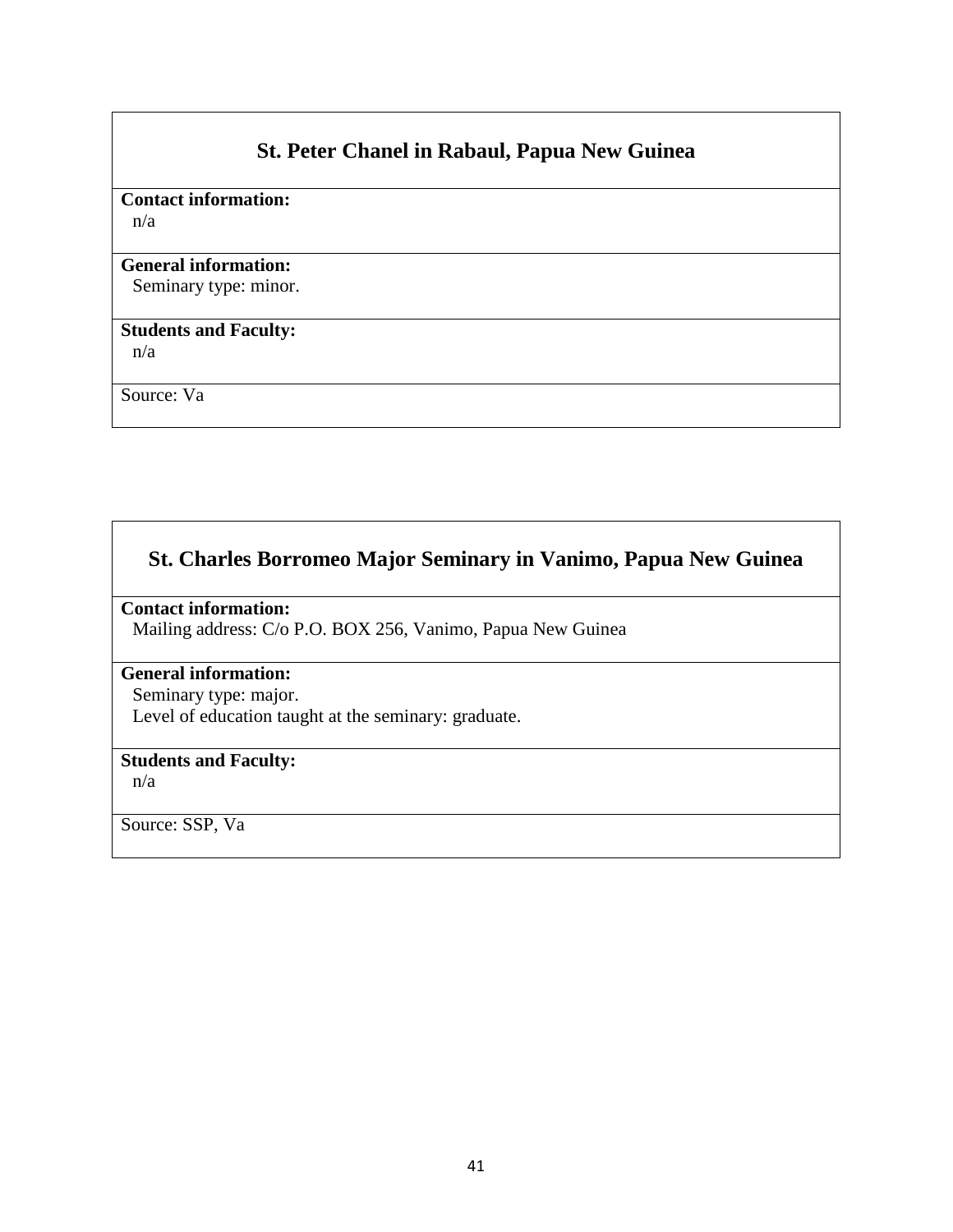# **St. Peter Chanel in Rabaul, Papua New Guinea**

# **Contact information:**

n/a

### **General information:**

Seminary type: minor.

# **Students and Faculty:**

n/a

Source: Va

# **St. Charles Borromeo Major Seminary in Vanimo, Papua New Guinea**

# **Contact information:**

Mailing address: C/o P.O. BOX 256, Vanimo, Papua New Guinea

## **General information:**

Seminary type: major. Level of education taught at the seminary: graduate.

### **Students and Faculty:**

n/a

Source: SSP, Va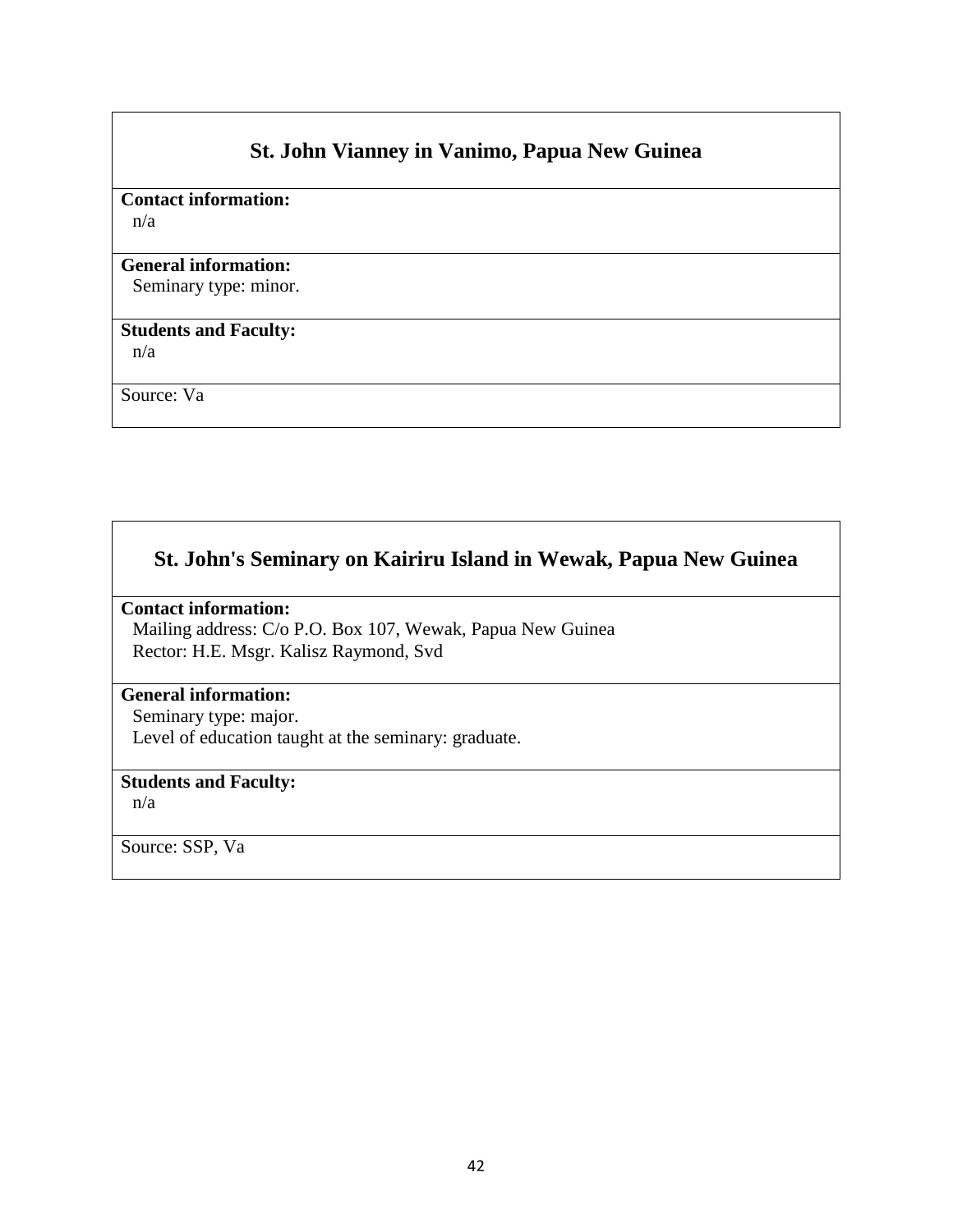# **St. John Vianney in Vanimo, Papua New Guinea**

# **Contact information:**

n/a

### **General information:**

Seminary type: minor.

## **Students and Faculty:**

n/a

Source: Va

# **St. John's Seminary on Kairiru Island in Wewak, Papua New Guinea**

### **Contact information:**

Mailing address: C/o P.O. Box 107, Wewak, Papua New Guinea Rector: H.E. Msgr. Kalisz Raymond, Svd

### **General information:**

Seminary type: major. Level of education taught at the seminary: graduate.

# **Students and Faculty:**

n/a

Source: SSP, Va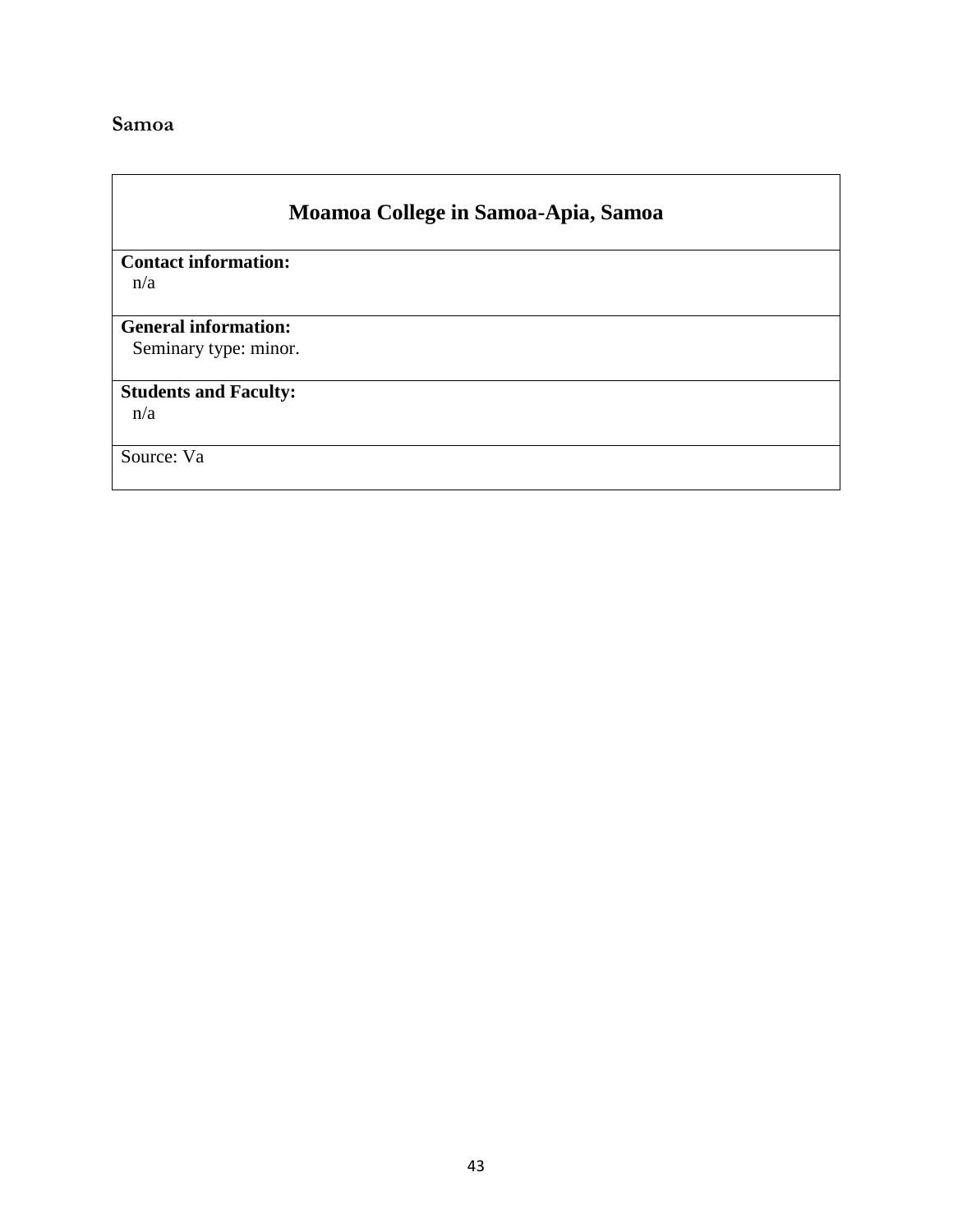# <span id="page-42-0"></span>**Samoa**

# **Moamoa College in Samoa-Apia, Samoa**

**Contact information:**  n/a

## **General information:**

Seminary type: minor.

# **Students and Faculty:**

n/a

Source: Va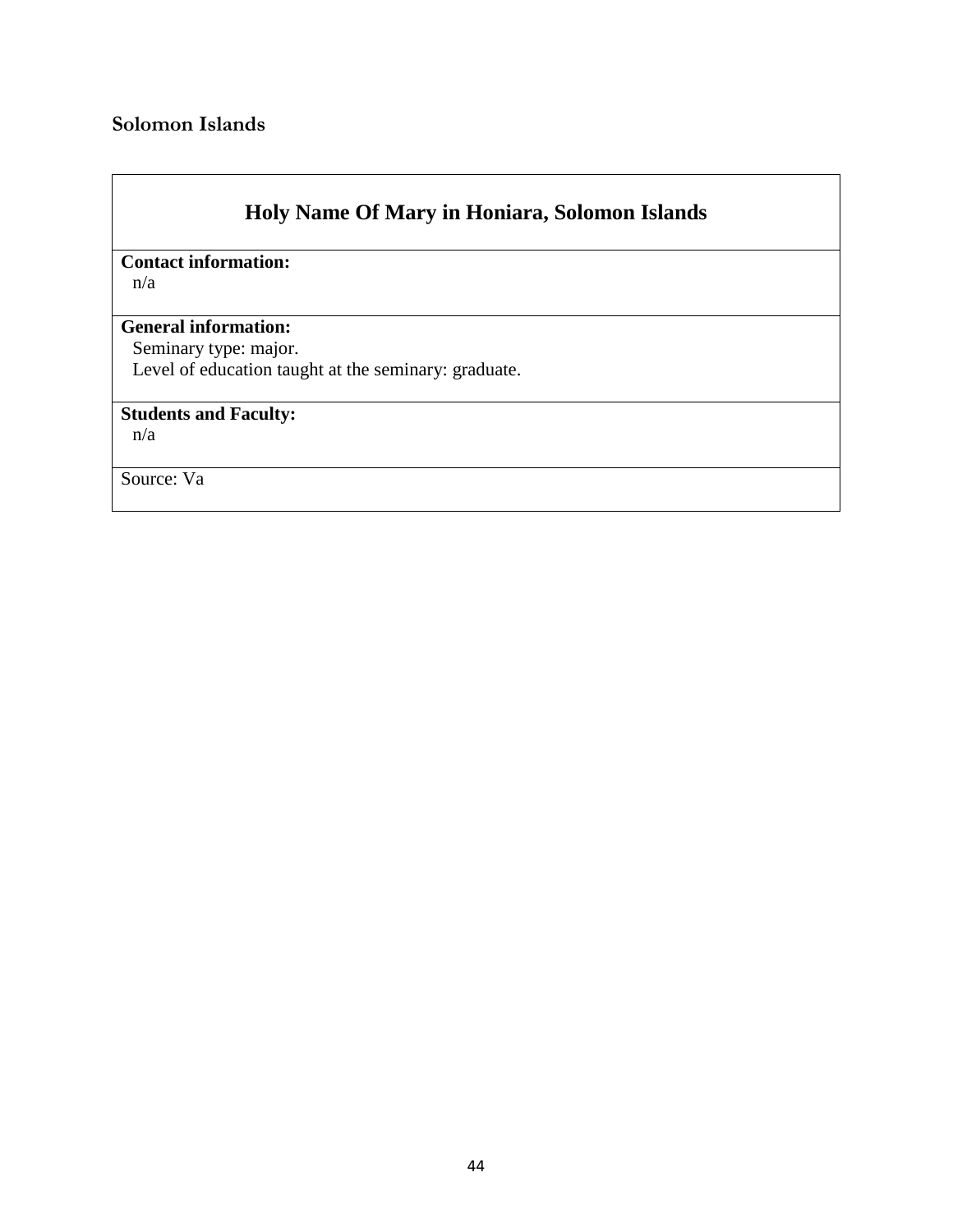# <span id="page-43-0"></span>**Solomon Islands**

# **Holy Name Of Mary in Honiara, Solomon Islands**

**Contact information:** 

n/a

#### **General information:**

Seminary type: major.

Level of education taught at the seminary: graduate.

## **Students and Faculty:**

n/a

Source: Va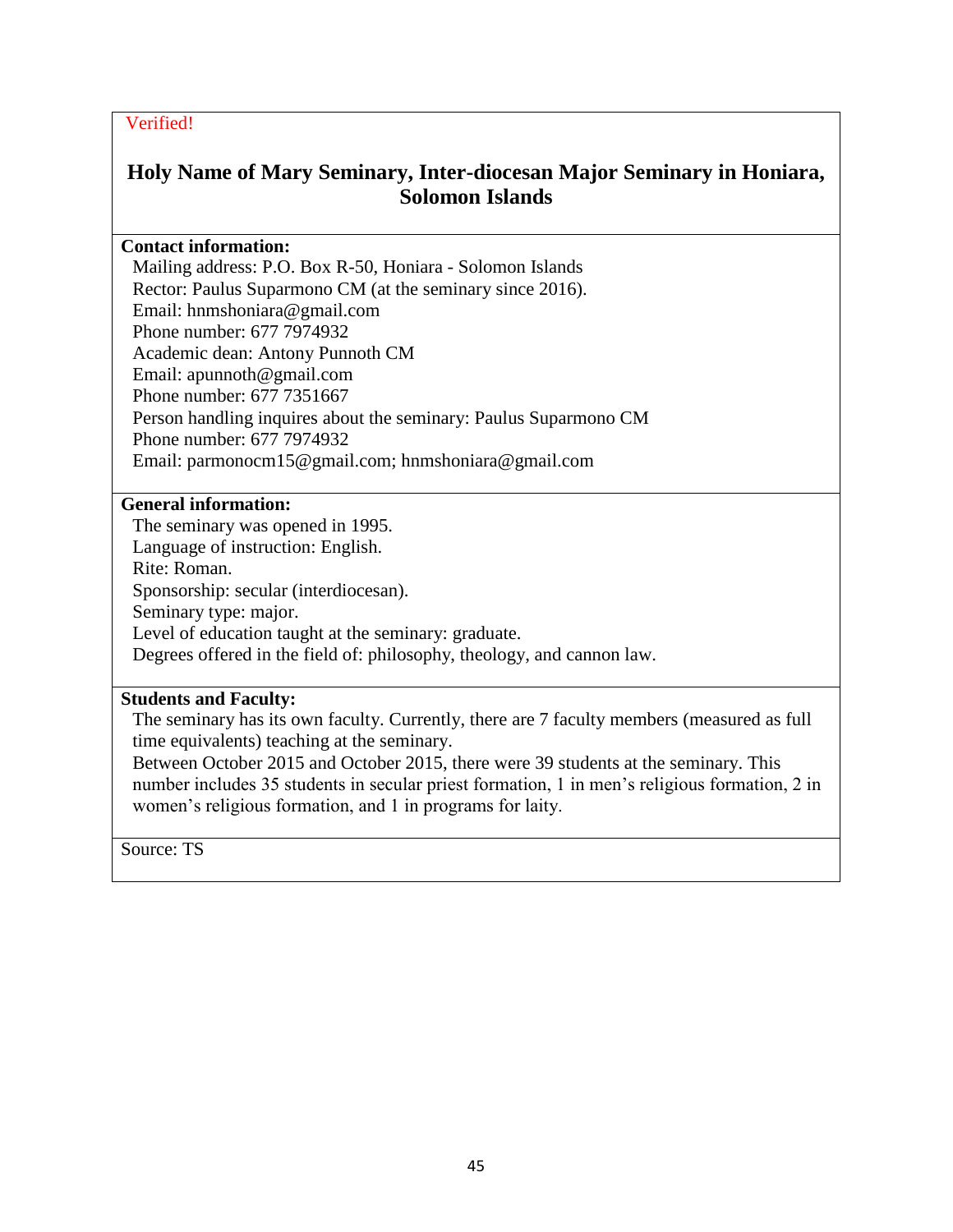# **Holy Name of Mary Seminary, Inter-diocesan Major Seminary in Honiara, Solomon Islands**

#### **Contact information:**

Mailing address: P.O. Box R-50, Honiara - Solomon Islands Rector: Paulus Suparmono CM (at the seminary since 2016). Email: hnmshoniara@gmail.com Phone number: 677 7974932 Academic dean: Antony Punnoth CM Email: apunnoth@gmail.com Phone number: 677 7351667 Person handling inquires about the seminary: Paulus Suparmono CM Phone number: 677 7974932 Email: parmonocm15@gmail.com; hnmshoniara@gmail.com

### **General information:**

The seminary was opened in 1995. Language of instruction: English. Rite: Roman. Sponsorship: secular (interdiocesan). Seminary type: major. Level of education taught at the seminary: graduate. Degrees offered in the field of: philosophy, theology, and cannon law.

#### **Students and Faculty:**

The seminary has its own faculty. Currently, there are 7 faculty members (measured as full time equivalents) teaching at the seminary.

Between October 2015 and October 2015, there were 39 students at the seminary. This number includes 35 students in secular priest formation, 1 in men's religious formation, 2 in women's religious formation, and 1 in programs for laity.

Source: TS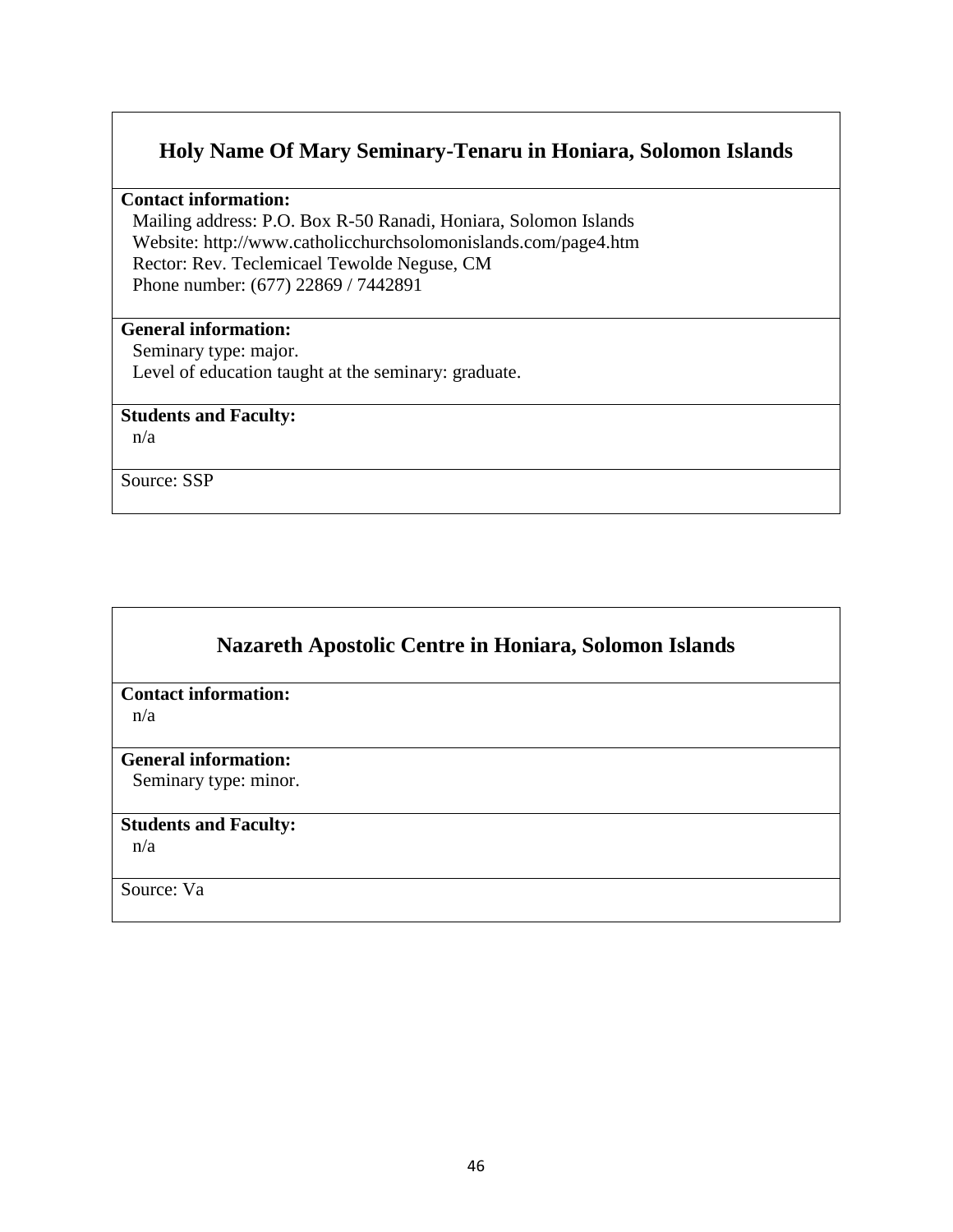## **Holy Name Of Mary Seminary-Tenaru in Honiara, Solomon Islands**

**Contact information:** 

Mailing address: P.O. Box R-50 Ranadi, Honiara, Solomon Islands Website: http://www.catholicchurchsolomonislands.com/page4.htm Rector: Rev. Teclemicael Tewolde Neguse, CM Phone number: (677) 22869 / 7442891

# **General information:**

Seminary type: major. Level of education taught at the seminary: graduate.

### **Students and Faculty:**

n/a

Source: SSP

# **Nazareth Apostolic Centre in Honiara, Solomon Islands**

### **Contact information:**

n/a

#### **General information:**

Seminary type: minor.

### **Students and Faculty:**

n/a

Source: Va